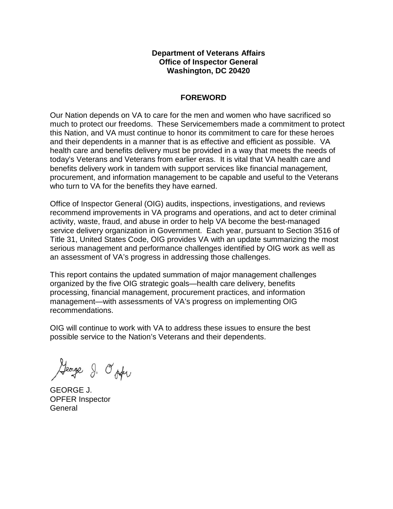# **Department of Veterans Affairs Office of Inspector General Washington, DC 20420**

# **FOREWORD**

 Our Nation depends on VA to care for the men and women who have sacrificed so much to protect our freedoms. These Servicemembers made a commitment to protect this Nation, and VA must continue to honor its commitment to care for these heroes and their dependents in a manner that is as effective and efficient as possible. VA health care and benefits delivery must be provided in a way that meets the needs of today's Veterans and Veterans from earlier eras. It is vital that VA health care and benefits delivery work in tandem with support services like financial management, procurement, and information management to be capable and useful to the Veterans who turn to VA for the benefits they have earned.

 Office of Inspector General (OIG) audits, inspections, investigations, and reviews recommend improvements in VA programs and operations, and act to deter criminal activity, waste, fraud, and abuse in order to help VA become the best-managed service delivery organization in Government. Each year, pursuant to Section 3516 of Title 31, United States Code, OIG provides VA with an update summarizing the most serious management and performance challenges identified by OIG work as well as an assessment of VA's progress in addressing those challenges.

 This report contains the updated summation of major management challenges organized by the five OIG strategic goals—health care delivery, benefits processing, financial management, procurement practices, and information management—with assessments of VA's progress on implementing OIG recommendations.

 OIG will continue to work with VA to address these issues to ensure the best possible service to the Nation's Veterans and their dependents.

George J. O'oder

 GEORGE J. OPFER Inspector **General**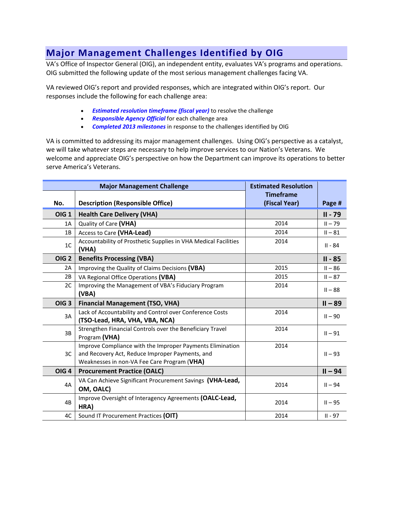# **Major Management Challenges Identified by OIG**

 VA's Office of Inspector General (OIG), an independent entity, evaluates VA's programs and operations. OIG submitted the following update of the most serious management challenges facing VA.

 VA reviewed OIG's report and provided responses, which are integrated within OIG's report. Our responses include the following for each challenge area:

- *Estimated resolution timeframe (fiscal year)* to resolve the challenge
- *Responsible Agency Official* for each challenge area
- *Completed 2013 milestones* in response to the challenges identified by OIG

 we will take whatever steps are necessary to help improve services to our Nation's Veterans. We VA is committed to addressing its major management challenges. Using OIG's perspective as a catalyst, welcome and appreciate OIG's perspective on how the Department can improve its operations to better serve America's Veterans.

| <b>Major Management Challenge</b> |                                                                                                                                                             | <b>Estimated Resolution</b>       |           |
|-----------------------------------|-------------------------------------------------------------------------------------------------------------------------------------------------------------|-----------------------------------|-----------|
| No.                               | <b>Description (Responsible Office)</b>                                                                                                                     | <b>Timeframe</b><br>(Fiscal Year) | Page #    |
| <b>OIG 1</b>                      | <b>Health Care Delivery (VHA)</b>                                                                                                                           |                                   | $II - 79$ |
| 1A                                | Quality of Care (VHA)                                                                                                                                       | 2014                              | $II - 79$ |
| 1B                                | Access to Care (VHA-Lead)                                                                                                                                   | 2014                              | $II - 81$ |
| 1 <sup>C</sup>                    | Accountability of Prosthetic Supplies in VHA Medical Facilities<br>(VHA)                                                                                    | 2014                              | $II - 84$ |
| <b>OIG 2</b>                      | <b>Benefits Processing (VBA)</b>                                                                                                                            |                                   | II - 85   |
| 2A                                | Improving the Quality of Claims Decisions (VBA)                                                                                                             | 2015                              | $II - 86$ |
| 2B                                | VA Regional Office Operations (VBA)                                                                                                                         | 2015                              | $II - 87$ |
| 2C                                | Improving the Management of VBA's Fiduciary Program<br>(VBA)                                                                                                | 2014                              | $II - 88$ |
| OIG <sub>3</sub>                  | <b>Financial Management (TSO, VHA)</b>                                                                                                                      |                                   | $II - 89$ |
| 3A                                | Lack of Accountability and Control over Conference Costs<br>(TSO-Lead, HRA, VHA, VBA, NCA)                                                                  | 2014                              | $II - 90$ |
| 3B                                | Strengthen Financial Controls over the Beneficiary Travel<br>Program (VHA)                                                                                  | 2014                              | $II - 91$ |
| 3C                                | Improve Compliance with the Improper Payments Elimination<br>and Recovery Act, Reduce Improper Payments, and<br>Weaknesses in non-VA Fee Care Program (VHA) | 2014                              | $II - 93$ |
| <b>OIG 4</b>                      | <b>Procurement Practice (OALC)</b>                                                                                                                          |                                   | $II - 94$ |
| 4A                                | VA Can Achieve Significant Procurement Savings (VHA-Lead,<br>OM, OALC)                                                                                      | 2014                              | $II - 94$ |
| 4B                                | Improve Oversight of Interagency Agreements (OALC-Lead,<br>HRA)                                                                                             | 2014                              | $II - 95$ |
| 4C                                | Sound IT Procurement Practices (OIT)                                                                                                                        | 2014                              | $II - 97$ |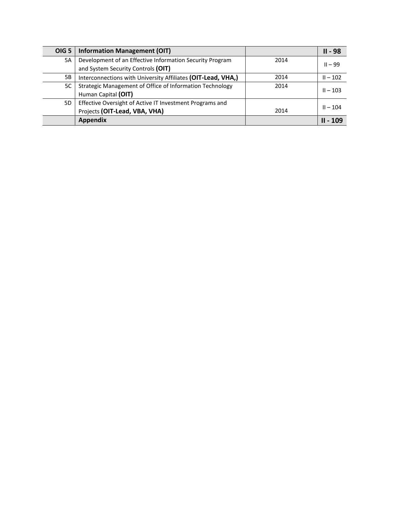| <b>OIG 5</b> | <b>Information Management (OIT)</b>                          |      | $II - 98$  |
|--------------|--------------------------------------------------------------|------|------------|
| 5A           | Development of an Effective Information Security Program     | 2014 | $II - 99$  |
|              | and System Security Controls (OIT)                           |      |            |
| 5Β           | Interconnections with University Affiliates (OIT-Lead, VHA,) | 2014 | $II - 102$ |
| 5C           | Strategic Management of Office of Information Technology     | 2014 | $II - 103$ |
|              | Human Capital (OIT)                                          |      |            |
| 5D           | Effective Oversight of Active IT Investment Programs and     |      | $II - 104$ |
|              | Projects (OIT-Lead, VBA, VHA)                                | 2014 |            |
|              | <b>Appendix</b>                                              |      | $II - 109$ |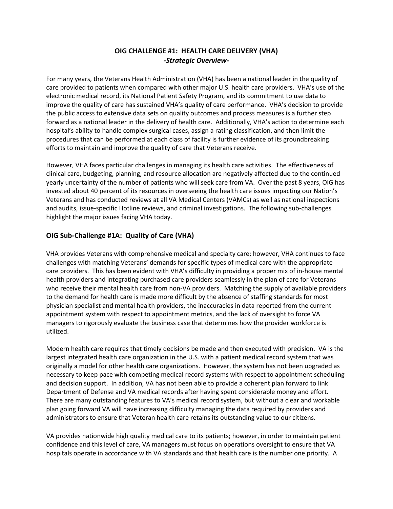# **OIG CHALLENGE #1: HEALTH CARE DELIVERY (VHA)**  *-Strategic Overview-*

 care provided to patients when compared with other major U.S. health care providers. VHA's use of the the public access to extensive data sets on [quality outcomes and process measures](http://www.va.gov/health/HospitalReportCard.asp) is a further step forward as a national leader in the delivery of health care. Additionally, VHA's action to determine each hospital's ability to handle complex surgical cases, assign [a rating](http://www.patientcare.va.gov/20100518a1.asp) classification, and then limit the procedures that can be performed at each class of facility is further evidence of its groundbreaking For many years, the Veterans Health Administration (VHA) has been a national leader in the quality of electronic medical record, its National Patient Safety Program, and its commitment to use data to improve the quality of care has sustained VHA's quality of care performance. VHA's decision to provide efforts to maintain and improve the quality of care that Veterans receive.

 However, VHA faces particular challenges in managing its health care activities. The effectiveness of clinical care, budgeting, planning, and resource allocation are negatively affected due to the continued yearly uncertainty of the number of patients who will seek care from VA. Over the past 8 years, OIG has Veterans and has conducted reviews at all VA Medical Centers (VAMCs) as well as national inspections invested about 40 percent of its resources in overseeing the health care issues impacting our Nation's and audits, issue-specific Hotline reviews, and criminal investigations. The following sub-challenges highlight the major issues facing VHA today.

# **OIG Sub-Challenge #1A: Quality of Care (VHA)**

 who receive their mental health care from non-VA providers. Matching the supply of available providers appointment system with respect to appointment metrics, and the lack of oversight to force VA VHA provides Veterans with comprehensive medical and specialty care; however, VHA continues to face challenges with matching Veterans' demands for specific types of medical care with the appropriate care providers. This has been evident with VHA's difficulty in providing a proper mix of in-house mental health providers and integrating purchased care providers seamlessly in the plan of care for Veterans to the demand for health care is made more difficult by the absence of staffing standards for most physician specialist and mental health providers, the inaccuracies in data reported from the current managers to rigorously evaluate the business case that determines how the provider workforce is utilized.

 Modern health care requires that timely decisions be made and then executed with precision. VA is the and decision support. In addition, VA has not been able to provide a coherent plan forward to link Department of Defense and VA medical records after having spent considerable money and effort. plan going forward VA will have increasing difficulty managing the data required by providers and largest integrated health care organization in the U.S. with a patient medical record system that was originally a model for other health care organizations. However, the system has not been upgraded as necessary to keep pace with competing medical record systems with respect to appointment scheduling There are many outstanding features to VA's medical record system, but without a clear and workable administrators to ensure that Veteran health care retains its outstanding value to our citizens.

 confidence and this level of care, VA managers must focus on operations oversight to ensure that VA VA provides nationwide high quality medical care to its patients; however, in order to maintain patient hospitals operate in accordance with VA standards and that health care is the number one priority. A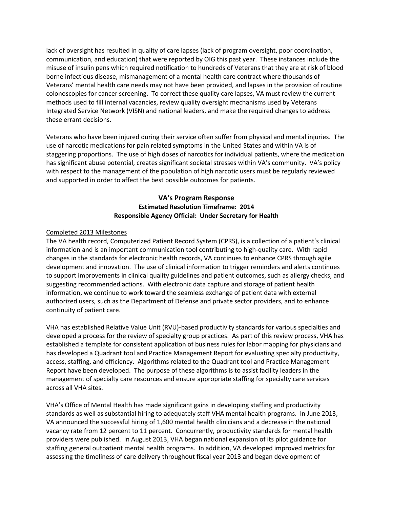lack of oversight has resulted in quality of care lapses (lack of program oversight, poor coordination, communication, and education) that were reported by OIG this past year. These instances include the misuse of insulin pens which required notification to hundreds of Veterans that they are at risk of blood Veterans' mental health care needs may not have been provided, and lapses in the provision of routine colonoscopies for cancer screening. To correct these quality care lapses, VA must review the current borne infectious disease, mismanagement of a mental health care contract where thousands of methods used to fill internal vacancies, review quality oversight mechanisms used by Veterans Integrated Service Network (VISN) and national leaders, and make the required changes to address these errant decisions.

 Veterans who have been injured during their service often suffer from physical and mental injuries. The use of narcotic medications for pain related symptoms in the United States and within VA is of with respect to the management of the population of high narcotic users must be regularly reviewed and supported in order to affect the best possible outcomes for patients. staggering proportions. The use of high doses of narcotics for individual patients, where the medication has significant abuse potential, creates significant societal stresses within VA's community. VA's policy

# **Responsible Agency Official: Under Secretary for Health VA's Program Response Estimated Resolution Timeframe: 2014**

#### Completed 2013 Milestones

 The VA health record, Computerized Patient Record System (CPRS), is a collection of a patient's clinical information and is an important communication tool contributing to high-quality care. With rapid development and innovation. The use of clinical information to trigger reminders and alerts continues to support improvements in clinical quality guidelines and patient outcomes, such as allergy checks, and suggesting recommended actions. With electronic data capture and storage of patient health authorized users, such as the Department of Defense and private sector providers, and to enhance changes in the standards for electronic health records, VA continues to enhance CPRS through agile information, we continue to work toward the seamless exchange of patient data with external continuity of patient care.

 developed a process for the review of specialty group practices. As part of this review process, VHA has has developed a Quadrant tool and Practice Management Report for evaluating specialty productivity, access, staffing, and efficiency. Algorithms related to the Quadrant tool and Practice Management across all VHA sites. VHA has established Relative Value Unit (RVU)-based productivity standards for various specialties and established a template for consistent application of business rules for labor mapping for physicians and Report have been developed. The purpose of these algorithms is to assist facility leaders in the management of specialty care resources and ensure appropriate staffing for specialty care services

 standards as well as substantial hiring to adequately staff VHA mental health programs. In June 2013, vacancy rate from 12 percent to 11 percent. Concurrently, productivity standards for mental health providers were published. In August 2013, VHA began national expansion of its pilot guidance for staffing general outpatient mental health programs. In addition, VA developed improved metrics for VHA's Office of Mental Health has made significant gains in developing staffing and productivity VA announced the successful hiring of 1,600 mental health clinicians and a decrease in the national assessing the timeliness of care delivery throughout fiscal year 2013 and began development of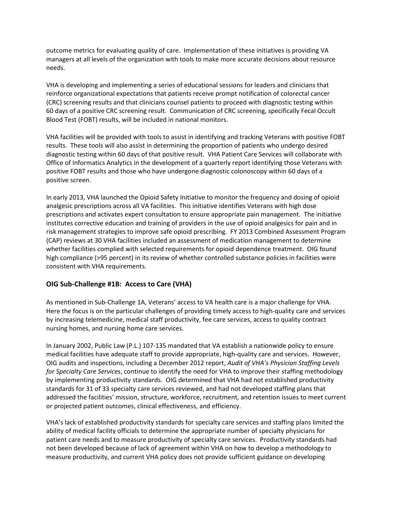managers at all levels of the organization with tools to make more accurate decisions about resource outcome metrics for evaluating quality of care. Implementation of these initiatives is providing VA needs.

VHA is developing and implementing a series of educational sessions for leaders and clinicians that reinforce organizational expectations that patients receive prompt notification of colorectal cancer (CRC) screening results and that clinicians counsel patients to proceed with diagnostic testing within 60 days of a positive CRC screening result. Communication of CRC screening, specifically Fecal Occult Blood Test (FOBT) results, will be included in national monitors.

 VHA facilities will be provided with tools to assist in identifying and tracking Veterans with positive FOBT results. These tools will also assist in determining the proportion of patients who undergo desired positive FOBT results and those who have undergone diagnostic colonoscopy within 60 days of a diagnostic testing within 60 days of that positive result. VHA Patient Care Services will collaborate with Office of Informatics Analytics in the development of a quarterly report identifying those Veterans with positive screen.

 In early 2013, VHA launched the Opioid Safety Initiative to monitor the frequency and dosing of opioid risk management strategies to improve safe opioid prescribing. FY 2013 Combined Assessment Program (CAP) reviews at 30 VHA facilities included an assessment of medication management to determine whether facilities complied with selected requirements for opioid dependence treatment. OIG found high compliance (>95 percent) in its review of whether controlled substance policies in facilities were analgesic prescriptions across all VA facilities. This initiative identifies Veterans with high dose prescriptions and activates expert consultation to ensure appropriate pain management. The initiative institutes corrective education and training of providers in the use of opioid analgesics for pain and in consistent with VHA requirements.

### **OIG Sub-Challenge #1B: Access to Care (VHA)**

As mentioned in Sub-Challenge 1A, Veterans' access to VA health care is a major challenge for VHA. nursing homes, and nursing home care services. Here the focus is on the particular challenges of providing timely access to high-quality care and services by increasing telemedicine, medical staff productivity, fee care services, access to quality contract

nursing homes, and nursing home care services.<br>In January 2002, Public Law (P.L.) 107-135 mandated that VA establish a nationwide policy to ensure or projected patient outcomes, clinical effectiveness, and efficiency. medical facilities have adequate staff to provide appropriate, high-quality care and services. However, OIG audits and inspections, including a December 2012 report, *Audit of VHA's Physician Staffing Levels for Specialty Care Services*, continue to identify the need for VHA to improve their staffing methodology by implementing productivity standards. OIG determined that VHA had not established productivity standards for 31 of 33 specialty care services reviewed, and had not developed staffing plans that addressed the facilities' mission, structure, workforce, recruitment, and retention issues to meet current

 patient care needs and to measure productivity of specialty care services. Productivity standards had not been developed because of lack of agreement within VHA on how to develop a methodology to VHA's lack of established productivity standards for specialty care services and staffing plans limited the ability of medical facility officials to determine the appropriate number of specialty physicians for measure productivity, and current VHA policy does not provide sufficient guidance on developing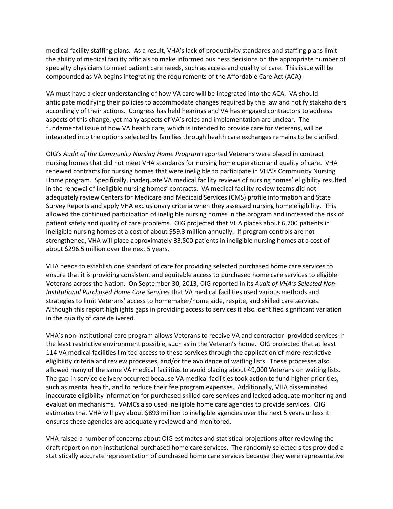specialty physicians to meet patient care needs, such as access and quality of care. This issue will be compounded as VA begins integrating the requirements of the Affordable Care Act (ACA). medical facility staffing plans. As a result, VHA's lack of productivity standards and staffing plans limit the ability of medical facility officials to make informed business decisions on the appropriate number of

 anticipate modifying their policies to accommodate changes required by this law and notify stakeholders aspects of this change, yet many aspects of VA's roles and implementation are unclear. The fundamental issue of how VA health care, which is intended to provide care for Veterans, will be integrated into the options selected by families through health care exchanges remains to be clarified. VA must have a clear understanding of how VA care will be integrated into the ACA. VA should accordingly of their actions. Congress has held hearings and VA has engaged contractors to address

 OIG's *Audit of the Community Nursing Home Program* reported Veterans were placed in contract nursing homes that did not meet VHA standards for nursing home operation and quality of care. VHA in the renewal of ineligible nursing homes' contracts. VA medical facility review teams did not patient safety and quality of care problems. OIG projected that VHA places about 6,700 patients in about \$296.5 million over the next 5 years. renewed contracts for nursing homes that were ineligible to participate in VHA's Community Nursing Home program. Specifically, inadequate VA medical facility reviews of nursing homes' eligibility resulted adequately review Centers for Medicare and Medicaid Services (CMS) profile information and State Survey Reports and apply VHA exclusionary criteria when they assessed nursing home eligibility. This allowed the continued participation of ineligible nursing homes in the program and increased the risk of ineligible nursing homes at a cost of about \$59.3 million annually. If program controls are not strengthened, VHA will place approximately 33,500 patients in ineligible nursing homes at a cost of

 VHA needs to establish one standard of care for providing selected purchased home care services to Veterans across the Nation. On September 30, 2013, OIG reported in its *Audit of VHA's Selected Non*strategies to limit Veterans' access to homemaker/home aide, respite, and skilled care services. strategies to limit Veterans' access to homemaker/home aide, respite, and skilled care services.<br>Although this report highlights gaps in providing access to services it also identified significant variation in the quality of care delivered. ensure that it is providing consistent and equitable access to purchased home care services to eligible *Institutional Purchased Home Care Services* that VA medical facilities used various methods and

 eligibility criteria and review processes, and/or the avoidance of waiting lists. These processes also allowed many of the same VA medical facilities to avoid placing about 49,000 Veterans on waiting lists. such as mental health, and to reduce their fee program expenses. Additionally, VHA disseminated estimates that VHA will pay about \$893 million to ineligible agencies over the next 5 years unless it ensures these agencies are adequately reviewed and monitored. VHA's non-institutional care program allows Veterans to receive VA and contractor- provided services in the least restrictive environment possible, such as in the Veteran's home. OIG projected that at least 114 VA medical facilities limited access to these services through the application of more restrictive The gap in service delivery occurred because VA medical facilities took action to fund higher priorities, inaccurate eligibility information for purchased skilled care services and lacked adequate monitoring and evaluation mechanisms. VAMCs also used ineligible home care agencies to provide services. OIG

 draft report on non-institutional purchased home care services. The randomly selected sites provided a VHA raised a number of concerns about OIG estimates and statistical projections after reviewing the statistically accurate representation of purchased home care services because they were representative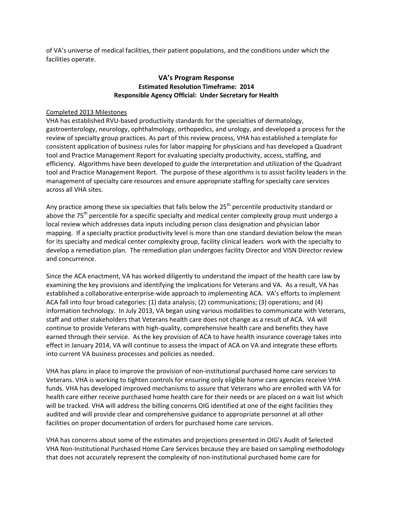of VA's universe of medical facilities, their patient populations, and the conditions under which the facilities operate.

# **Responsible Agency Official: Under Secretary for Health VA's Program Response Estimated Resolution Timeframe: 2014**

#### Completed 2013 Milestones

 tool and Practice Management Report for evaluating specialty productivity, access, staffing, and tool and Practice Management Report. The purpose of these algorithms is to assist facility leaders in the across all VHA sites. VHA has established RVU-based productivity standards for the specialties of dermatology, gastroenterology, neurology, ophthalmology, orthopedics, and urology, and developed a process for the review of specialty group practices. As part of this review process, VHA has established a template for consistent application of business rules for labor mapping for physicians and has developed a Quadrant efficiency. Algorithms have been developed to guide the interpretation and utilization of the Quadrant management of specialty care resources and ensure appropriate staffing for specialty care services

 mapping. If a specialty practice productivity level is more than one standard deviation below the mean for its specialty and medical center complexity group, facility clinical leaders work with the specialty to Any practice among these six specialties that falls below the  $25<sup>th</sup>$  percentile productivity standard or above the 75<sup>th</sup> percentile for a specific specialty and medical center complexity group must undergo a local review which addresses data inputs including person class designation and physician labor develop a remediation plan. The remediation plan undergoes facility Director and VISN Director review and concurrence.

 continue to provide Veterans with high-quality, comprehensive health care and benefits they have earned through their service. As the key provision of ACA to have health insurance coverage takes into effect in January 2014, VA will continue to assess the impact of ACA on VA and integrate these efforts Since the ACA enactment, VA has worked diligently to understand the impact of the health care law by examining the key provisions and identifying the implications for Veterans and VA. As a result, VA has established a collaborative enterprise-wide approach to implementing ACA. VA's efforts to implement ACA fall into four broad categories: (1) data analysis; (2) communications; (3) operations; and (4) information technology. In July 2013, VA began using various modalities to communicate with Veterans, staff and other stakeholders that Veterans health care does not change as a result of ACA. VA will into current VA business processes and policies as needed.

 VHA has plans in place to improve the provision of non-institutional purchased home care services to health care either receive purchased home health care for their needs or are placed on a wait list which will be tracked. VHA will address the billing concerns OIG identified at one of the eight facilities they audited and will provide clear and comprehensive guidance to appropriate personnel at all other Veterans. VHA is working to tighten controls for ensuring only eligible home care agencies receive VHA funds. VHA has developed improved mechanisms to assure that Veterans who are enrolled with VA for facilities on proper documentation of orders for purchased home care services.

 that does not accurately represent the complexity of non-institutional purchased home care for VHA has concerns about some of the estimates and projections presented in OIG's Audit of Selected VHA Non-Institutional Purchased Home Care Services because they are based on sampling methodology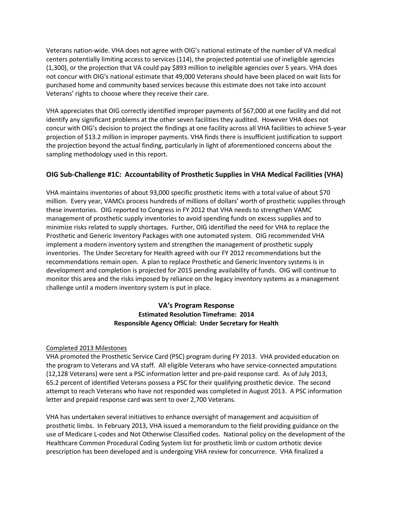Veterans nation-wide. VHA does not agree with OIG's national estimate of the number of VA medical not concur with OIG's national estimate that 49,000 Veterans should have been placed on wait lists for centers potentially limiting access to services (114), the projected potential use of ineligible agencies (1,300), or the projection that VA could pay \$893 million to ineligible agencies over 5 years. VHA does purchased home and community based services because this estimate does not take into account Veterans' rights to choose where they receive their care.

 the projection beyond the actual finding, particularly in light of aforementioned concerns about the VHA appreciates that OIG correctly identified improper payments of \$67,000 at one facility and did not identify any significant problems at the other seven facilities they audited. However VHA does not concur with OIG's decision to project the findings at one facility across all VHA facilities to achieve 5-year projection of \$13.2 million in improper payments. VHA finds there is insufficient justification to support sampling methodology used in this report.

# **OIG Sub-Challenge #1C: Accountability of Prosthetic Supplies in VHA Medical Facilities (VHA)**

 VHA maintains inventories of about 93,000 specific prosthetic items with a total value of about \$70 million. Every year, VAMCs process hundreds of millions of dollars' worth of prosthetic supplies through these inventories. OIG reported to Congress in FY 2012 that VHA needs to strengthen VAMC implement a modern inventory system and strengthen the management of prosthetic supply inventories. The Under Secretary for Health agreed with our FY 2012 recommendations but the development and completion is projected for 2015 pending availability of funds. OIG will continue to management of prosthetic supply inventories to avoid spending funds on excess supplies and to minimize risks related to supply shortages. Further, OIG identified the need for VHA to replace the Prosthetic and Generic Inventory Packages with one automated system. OIG recommended VHA recommendations remain open. A plan to replace Prosthetic and Generic Inventory systems is in monitor this area and the risks imposed by reliance on the legacy inventory systems as a management challenge until a modern inventory system is put in place.

# **Responsible Agency Official: Under Secretary for Health VA's Program Response Estimated Resolution Timeframe: 2014**

### Completed 2013 Milestones

 VHA promoted the Prosthetic Service Card (PSC) program during FY 2013. VHA provided education on attempt to reach Veterans who have not responded was completed in August 2013. A PSC information letter and prepaid response card was sent to over 2,700 Veterans. the program to Veterans and VA staff. All eligible Veterans who have service-connected amputations (12,128 Veterans) were sent a PSC information letter and pre-paid response card. As of July 2013, 65.2 percent of identified Veterans possess a PSC for their qualifying prosthetic device. The second

 VHA has undertaken several initiatives to enhance oversight of management and acquisition of prosthetic limbs. In February 2013, VHA issued a memorandum to the field providing guidance on the use of Medicare L-codes and Not Otherwise Classified codes. National policy on the development of the Healthcare Common Procedural Coding System list for prosthetic limb or custom orthotic device prescription has been developed and is undergoing VHA review for concurrence. VHA finalized a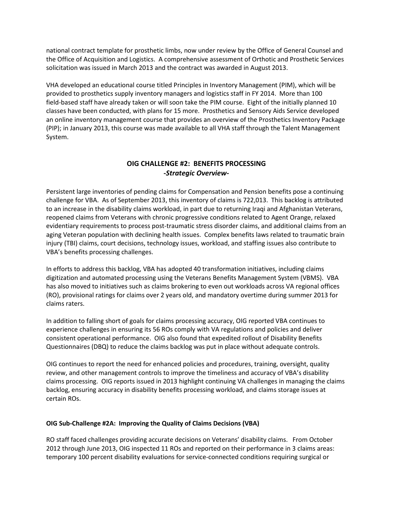the Office of Acquisition and Logistics. A comprehensive assessment of Orthotic and Prosthetic Services national contract template for prosthetic limbs, now under review by the Office of General Counsel and solicitation was issued in March 2013 and the contract was awarded in August 2013.

 VHA developed an educational course titled Principles in Inventory Management (PIM), which will be provided to prosthetics supply inventory managers and logistics staff in FY 2014. More than 100 field-based staff have already taken or will soon take the PIM course. Eight of the initially planned 10 (PIP); in January 2013, this course was made available to all VHA staff through the Talent Management classes have been conducted, with plans for 15 more. Prosthetics and Sensory Aids Service developed an online inventory management course that provides an overview of the Prosthetics Inventory Package System.

# **OIG CHALLENGE #2: BENEFITS PROCESSING**  *-Strategic Overview-*

 challenge for VBA. As of September 2013, this inventory of claims is 722,013. This backlog is attributed aging Veteran population with declining health issues. Complex benefits laws related to traumatic brain injury (TBI) claims, court decisions, technology issues, workload, and staffing issues also contribute to VBA's benefits processing challenges. Persistent large inventories of pending claims for Compensation and Pension benefits pose a continuing to an increase in the disability claims workload, in part due to returning Iraqi and Afghanistan Veterans, reopened claims from Veterans with chronic progressive conditions related to Agent Orange, relaxed evidentiary requirements to process post-traumatic stress disorder claims, and additional claims from an

VBA's benefits processing challenges.<br>In efforts to address this backlog, VBA has adopted 40 transformation initiatives, including claims digitization and automated processing using the Veterans Benefits Management System (VBMS). VBA has also moved to initiatives such as claims brokering to even out workloads across VA regional offices (RO), provisional ratings for claims over 2 years old, and mandatory overtime during summer 2013 for claims raters.

 consistent operational performance. OIG also found that expedited rollout of Disability Benefits In addition to falling short of goals for claims processing accuracy, OIG reported VBA continues to experience challenges in ensuring its 56 ROs comply with VA regulations and policies and deliver Questionnaires (DBQ) to reduce the claims backlog was put in place without adequate controls.

 review, and other management controls to improve the timeliness and accuracy of VBA's disability claims processing. OIG reports issued in 2013 highlight continuing VA challenges in managing the claims certain ROs. OIG continues to report the need for enhanced policies and procedures, training, oversight, quality backlog, ensuring accuracy in disability benefits processing workload, and claims storage issues at

#### **OIG Sub-Challenge #2A: Improving the Quality of Claims Decisions (VBA)**

 RO staff faced challenges providing accurate decisions on Veterans' disability claims. From October 2012 through June 2013, OIG inspected 11 ROs and reported on their performance in 3 claims areas: temporary 100 percent disability evaluations for service-connected conditions requiring surgical or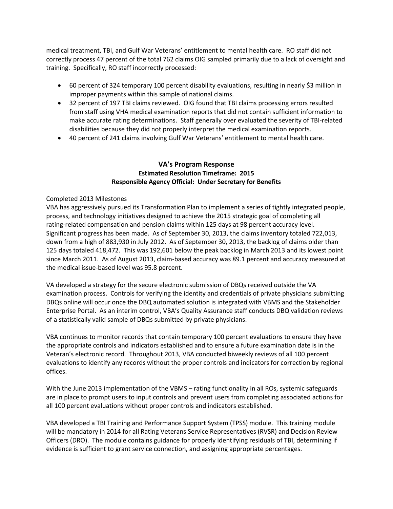medical treatment, TBI, and Gulf War Veterans' entitlement to mental health care. RO staff did not correctly process 47 percent of the total 762 claims OIG sampled primarily due to a lack of oversight and training. Specifically, RO staff incorrectly processed:

- • 60 percent of 324 temporary 100 percent disability evaluations, resulting in nearly \$3 million in improper payments within this sample of national claims.
- from staff using VHA medical examination reports that did not contain sufficient information to disabilities because they did not properly interpret the medical examination reports. • 32 percent of 197 TBI claims reviewed. OIG found that TBI claims processing errors resulted make accurate rating determinations. Staff generally over evaluated the severity of TBI-related
- • 40 percent of 241 claims involving Gulf War Veterans' entitlement to mental health care.

### **Responsible Agency Official: Under Secretary for Benefits VA's Program Response Estimated Resolution Timeframe: 2015**

#### Completed 2013 Milestones

 VBA has aggressively pursued its Transformation Plan to implement a series of tightly integrated people, rating-related compensation and pension claims within 125 days at 98 percent accuracy level. rating-related compensation and pension claims within 125 days at 98 percent accuracy level.<br>Significant progress has been made. As of September 30, 2013, the claims inventory totaled 722,013, 125 days totaled 418,472. This was 192,601 below the peak backlog in March 2013 and its lowest point since March 2011. As of August 2013, claim-based accuracy was 89.1 percent and accuracy measured at the medical issue-based level was 95.8 percent. process, and technology initiatives designed to achieve the 2015 strategic goal of completing all down from a high of 883,930 in July 2012. As of September 30, 2013, the backlog of claims older than

 DBQs online will occur once the DBQ automated solution is integrated with VBMS and the Stakeholder Enterprise Portal. As an interim control, VBA's Quality Assurance staff conducts DBQ validation reviews VA developed a strategy for the secure electronic submission of DBQs received outside the VA examination process. Controls for verifying the identity and credentials of private physicians submitting of a statistically valid sample of DBQs submitted by private physicians.

 the appropriate controls and indicators established and to ensure a future examination date is in the Veteran's electronic record. Throughout 2013, VBA conducted biweekly reviews of all 100 percent evaluations to identify any records without the proper controls and indicators for correction by regional VBA continues to monitor records that contain temporary 100 percent evaluations to ensure they have offices.

 With the June 2013 implementation of the VBMS – rating functionality in all ROs, systemic safeguards all 100 percent evaluations without proper controls and indicators established. are in place to prompt users to input controls and prevent users from completing associated actions for

 Officers (DRO). The module contains guidance for properly identifying residuals of TBI, determining if VBA developed a TBI Training and Performance Support System (TPSS) module. This training module will be mandatory in 2014 for all Rating Veterans Service Representatives (RVSR) and Decision Review evidence is sufficient to grant service connection, and assigning appropriate percentages.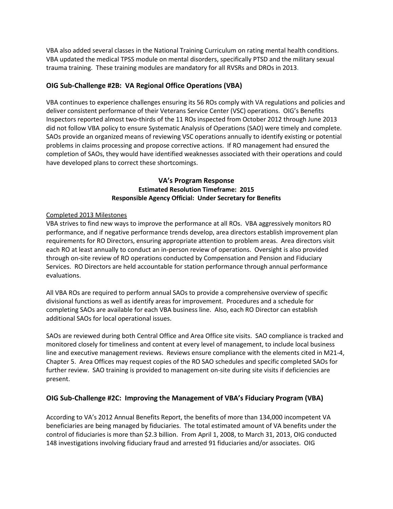VBA also added several classes in the National Training Curriculum on rating mental health conditions. VBA updated the medical TPSS module on mental disorders, specifically PTSD and the military sexual trauma training. These training modules are mandatory for all RVSRs and DROs in 2013.

# **OIG Sub-Challenge #2B: VA Regional Office Operations (VBA)**

did not follow VBA policy to ensure Systematic Analysis of Operations (SAO) were timely and complete. did not follow VBA policy to ensure Systematic Analysis of Operations (SAO) were timely and complete.<br>SAOs provide an organized means of reviewing VSC operations annually to identify existing or potential problems in claims processing and propose corrective actions. If RO management had ensured the have developed plans to correct these shortcomings. VBA continues to experience challenges ensuring its 56 ROs comply with VA regulations and policies and deliver consistent performance of their Veterans Service Center (VSC) operations. OIG's Benefits Inspectors reported almost two-thirds of the 11 ROs inspected from October 2012 through June 2013 completion of SAOs, they would have identified weaknesses associated with their operations and could

## **Responsible Agency Official: Under Secretary for Benefits VA's Program Response Estimated Resolution Timeframe: 2015**

### Completed 2013 Milestones

 requirements for RO Directors, ensuring appropriate attention to problem areas. Area directors visit each RO at least annually to conduct an in-person review of operations. Oversight is also provided Services. RO Directors are held accountable for station performance through annual performance VBA strives to find new ways to improve the performance at all ROs. VBA aggressively monitors RO performance, and if negative performance trends develop, area directors establish improvement plan through on-site review of RO operations conducted by Compensation and Pension and Fiduciary evaluations.

 divisional functions as well as identify areas for improvement. Procedures and a schedule for completing SAOs are available for each VBA business line. Also, each RO Director can establish All VBA ROs are required to perform annual SAOs to provide a comprehensive overview of specific additional SAOs for local operational issues.

 Chapter 5. Area Offices may request copies of the RO SAO schedules and specific completed SAOs for SAOs are reviewed during both Central Office and Area Office site visits. SAO compliance is tracked and monitored closely for timeliness and content at every level of management, to include local business line and executive management reviews. Reviews ensure compliance with the elements cited in M21-4, further review. SAO training is provided to management on-site during site visits if deficiencies are present.

# **OIG Sub-Challenge #2C: Improving the Management of VBA's Fiduciary Program (VBA)**

 According to VA's 2012 Annual Benefits Report, the benefits of more than 134,000 incompetent VA beneficiaries are being managed by fiduciaries. The total estimated amount of VA benefits under the control of fiduciaries is more than \$2.3 billion. From April 1, 2008, to March 31, 2013, OIG conducted 148 investigations involving fiduciary fraud and arrested 91 fiduciaries and/or associates. OIG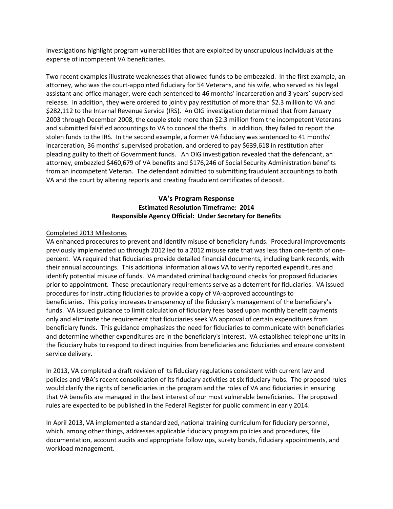investigations highlight program vulnerabilities that are exploited by unscrupulous individuals at the expense of incompetent VA beneficiaries.

expense of incompetent VA beneficiaries.<br>Two recent examples illustrate weaknesses that allowed funds to be embezzled. In the first example, an attorney, who was the court-appointed fiduciary for 54 Veterans, and his wife, who served as his legal assistant and office manager, were each sentenced to 46 months' incarceration and 3 years' supervised release. In addition, they were ordered to jointly pay restitution of more than \$2.3 million to VA and \$282,112 to the Internal Revenue Service (IRS). An OIG investigation determined that from January 2003 through December 2008, the couple stole more than \$2.3 million from the incompetent Veterans and submitted falsified accountings to VA to conceal the thefts. In addition, they failed to report the stolen funds to the IRS. In the second example, a former VA fiduciary was sentenced to 41 months' incarceration, 36 months' supervised probation, and ordered to pay \$639,618 in restitution after pleading guilty to theft of Government funds. An OIG investigation revealed that the defendant, an from an incompetent Veteran. The defendant admitted to submitting fraudulent accountings to both VA and the court by altering reports and creating fraudulent certificates of deposit. attorney, embezzled \$460,679 of VA benefits and \$176,246 of Social Security Administration benefits

# **Responsible Agency Official: Under Secretary for Benefits VA's Program Response Estimated Resolution Timeframe: 2014**

#### Completed 2013 Milestones

 VA enhanced procedures to prevent and identify misuse of beneficiary funds. Procedural improvements previously implemented up through 2012 led to a 2012 misuse rate that was less than one-tenth of one- percent. VA required that fiduciaries provide detailed financial documents, including bank records, with their annual accountings. This additional information allows VA to verify reported expenditures and identify potential misuse of funds. VA mandated criminal background checks for proposed fiduciaries prior to appointment. These precautionary requirements serve as a deterrent for fiduciaries. VA issued beneficiaries. This policy increases transparency of the fiduciary's management of the beneficiary's funds. VA issued guidance to limit calculation of fiduciary fees based upon monthly benefit payments beneficiary funds. This guidance emphasizes the need for fiduciaries to communicate with beneficiaries and determine whether expenditures are in the beneficiary's interest. VA established telephone units in service delivery. procedures for instructing fiduciaries to provide a copy of VA-approved accountings to only and eliminate the requirement that fiduciaries seek VA approval of certain expenditures from the fiduciary hubs to respond to direct inquiries from beneficiaries and fiduciaries and ensure consistent

service delivery.<br>In 2013, VA completed a draft revision of its fiduciary regulations consistent with current law and policies and VBA's recent consolidation of its fiduciary activities at six fiduciary hubs. The proposed rules would clarify the rights of beneficiaries in the program and the roles of VA and fiduciaries in ensuring that VA benefits are managed in the best interest of our most vulnerable beneficiaries. The proposed rules are expected to be published in the Federal Register for public comment in early 2014.

 workload management. In April 2013, VA implemented a standardized, national training curriculum for fiduciary personnel, which, among other things, addresses applicable fiduciary program policies and procedures, file documentation, account audits and appropriate follow ups, surety bonds, fiduciary appointments, and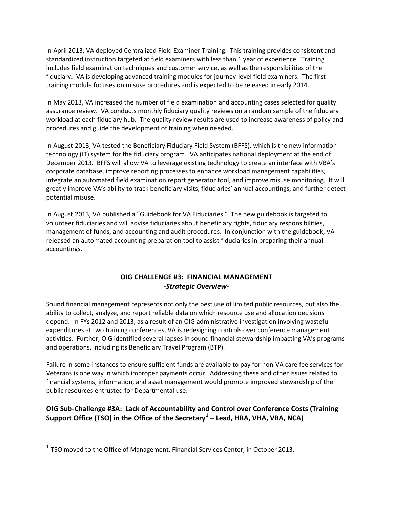standardized instruction targeted at field examiners with less than 1 year of experience. Training fiduciary. VA is developing advanced training modules for journey-level field examiners. The first training module focuses on misuse procedures and is expected to be released in early 2014. In April 2013, VA deployed Centralized Field Examiner Training. This training provides consistent and includes field examination techniques and customer service, as well as the responsibilities of the

procedures and guide the development of training when needed. In May 2013, VA increased the number of field examination and accounting cases selected for quality assurance review. VA conducts monthly fiduciary quality reviews on a random sample of the fiduciary workload at each fiduciary hub. The quality review results are used to increase awareness of policy and

 technology (IT) system for the fiduciary program. VA anticipates national deployment at the end of December 2013. BFFS will allow VA to leverage existing technology to create an interface with VBA's In August 2013, VA tested the Beneficiary Fiduciary Field System (BFFS), which is the new information corporate database, improve reporting processes to enhance workload management capabilities, integrate an automated field examination report generator tool, and improve misuse monitoring. It will greatly improve VA's ability to track beneficiary visits, fiduciaries' annual accountings, and further detect potential misuse.

 In August 2013, VA published a "Guidebook for VA Fiduciaries." The new guidebook is targeted to volunteer fiduciaries and will advise fiduciaries about beneficiary rights, fiduciary responsibilities, management of funds, and accounting and audit procedures. In conjunction with the guidebook, VA released an automated accounting preparation tool to assist fiduciaries in preparing their annual accountings.

# **OIG CHALLENGE #3: FINANCIAL MANAGEMENT -***Strategic Overview***-**

 Sound financial management represents not only the best use of limited public resources, but also the and operations, including its Beneficiary Travel Program (BTP). ability to collect, analyze, and report reliable data on which resource use and allocation decisions depend. In FYs 2012 and 2013, as a result of an OIG administrative investigation involving wasteful expenditures at two training conferences, VA is redesigning controls over conference management activities. Further, OIG identified several lapses in sound financial stewardship impacting VA's programs

 financial systems, information, and asset management would promote improved stewardship of the public resources entrusted for Departmental use. Failure in some instances to ensure sufficient funds are available to pay for non-VA care fee services for Veterans is one way in which improper payments occur. Addressing these and other issues related to

# **OIG Sub-Challenge #3A: Lack of Accountability and Control over Conference Costs (Training Support Office (TSO) in the Office of the Secretary[1](#page-13-0) – Lead, HRA, VHA, VBA, NCA)**

l

<span id="page-13-0"></span> $1$  TSO moved to the Office of Management, Financial Services Center, in October 2013.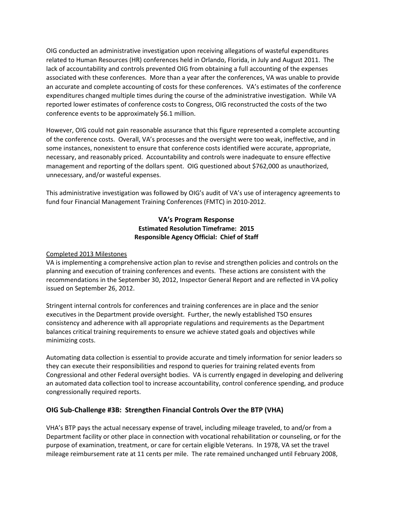associated with these conferences. More than a year after the conferences, VA was unable to provide an accurate and complete accounting of costs for these conferences. VA's estimates of the conference expenditures changed multiple times during the course of the administrative investigation. While VA conference events to be approximately \$6.1 million. OIG conducted an administrative investigation upon receiving allegations of wasteful expenditures related to Human Resources (HR) conferences held in Orlando, Florida, in July and August 2011. The lack of accountability and controls prevented OIG from obtaining a full accounting of the expenses reported lower estimates of conference costs to Congress, OIG reconstructed the costs of the two

 necessary, and reasonably priced. Accountability and controls were inadequate to ensure effective management and reporting of the dollars spent. OIG questioned about \$762,000 as unauthorized, unnecessary, and/or wasteful expenses. However, OIG could not gain reasonable assurance that this figure represented a complete accounting of the conference costs. Overall, VA's processes and the oversight were too weak, ineffective, and in some instances, nonexistent to ensure that conference costs identified were accurate, appropriate,

This administrative investigation was followed by OIG's audit of VA's use of interagency agreements to fund four Financial Management Training Conferences (FMTC) in 2010-2012.

### **Responsible Agency Official: Chief of Staff VA's Program Response Estimated Resolution Timeframe: 2015**

### Completed 2013 Milestones

 VA is implementing a comprehensive action plan to revise and strengthen policies and controls on the issued on September 26, 2012. planning and execution of training conferences and events. These actions are consistent with the recommendations in the September 30, 2012, Inspector General Report and are reflected in VA policy

 executives in the Department provide oversight. Further, the newly established TSO ensures balances critical training requirements to ensure we achieve stated goals and objectives while Stringent internal controls for conferences and training conferences are in place and the senior consistency and adherence with all appropriate regulations and requirements as the Department minimizing costs.

 they can execute their responsibilities and respond to queries for training related events from Automating data collection is essential to provide accurate and timely information for senior leaders so Congressional and other Federal oversight bodies. VA is currently engaged in developing and delivering an automated data collection tool to increase accountability, control conference spending, and produce congressionally required reports.

# **OIG Sub-Challenge #3B: Strengthen Financial Controls Over the BTP (VHA)**

 Department facility or other place in connection with vocational rehabilitation or counseling, or for the purpose of examination, treatment, or care for certain eligible Veterans. In 1978, VA set the travel VHA's BTP pays the actual necessary expense of travel, including mileage traveled, to and/or from a mileage reimbursement rate at 11 cents per mile. The rate remained unchanged until February 2008,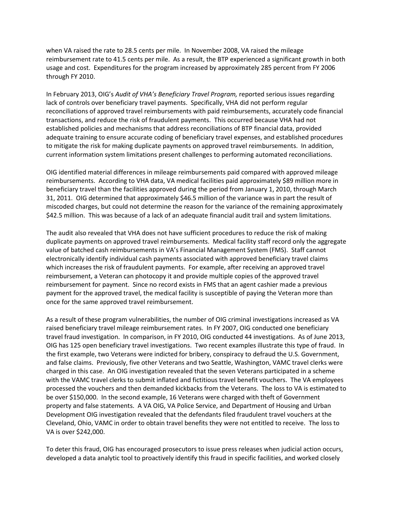usage and cost. Expenditures for the program increased by approximately 285 percent from FY 2006 through FY 2010. when VA raised the rate to 28.5 cents per mile. In November 2008, VA raised the mileage reimbursement rate to 41.5 cents per mile. As a result, the BTP experienced a significant growth in both

 In February 2013, OIG's *Audit of VHA's Beneficiary Travel Program,* reported serious issues regarding lack of controls over beneficiary travel payments. Specifically, VHA did not perform regular reconciliations of approved travel reimbursements with paid reimbursements, accurately code financial transactions, and reduce the risk of fraudulent payments. This occurred because VHA had not established policies and mechanisms that address reconciliations of BTP financial data, provided adequate training to ensure accurate coding of beneficiary travel expenses, and established procedures to mitigate the risk for making duplicate payments on approved travel reimbursements. In addition, current information system limitations present challenges to performing automated reconciliations.

 OIG identified material differences in mileage reimbursements paid compared with approved mileage reimbursements. According to VHA data, VA medical facilities paid approximately \$89 million more in beneficiary travel than the facilities approved during the period from January 1, 2010, through March 31, 2011. OIG determined that approximately \$46.5 million of the variance was in part the result of \$42.5 million. This was because of a lack of an adequate financial audit trail and system limitations. miscoded charges, but could not determine the reason for the variance of the remaining approximately

\$42.5 million. This was because of a lack of an adequate financial audit trail and system limitations.<br>The audit also revealed that VHA does not have sufficient procedures to reduce the risk of making which increases the risk of fraudulent payments. For example, after receiving an approved travel reimbursement, a Veteran can photocopy it and provide multiple copies of the approved travel payment for the approved travel, the medical facility is susceptible of paying the Veteran more than once for the same approved travel reimbursement. duplicate payments on approved travel reimbursements. Medical facility staff record only the aggregate value of batched cash reimbursements in VA's Financial Management System (FMS). Staff cannot electronically identify individual cash payments associated with approved beneficiary travel claims reimbursement for payment. Since no record exists in FMS that an agent cashier made a previous

 As a result of these program vulnerabilities, the number of OIG criminal investigations increased as VA travel fraud investigation. In comparison, in FY 2010, OIG conducted 44 investigations. As of June 2013, OIG has 125 open beneficiary travel investigations. Two recent examples illustrate this type of fraud. In and false claims. Previously, five other Veterans and two Seattle, Washington, VAMC travel clerks were processed the vouchers and then demanded kickbacks from the Veterans. The loss to VA is estimated to be over \$150,000. In the second example, 16 Veterans were charged with theft of Government Development OIG investigation revealed that the defendants filed fraudulent travel vouchers at the VA is over \$242,000. raised beneficiary travel mileage reimbursement rates. In FY 2007, OIG conducted one beneficiary the first example, two Veterans were indicted for bribery, conspiracy to defraud the U.S. Government, charged in this case. An OIG investigation revealed that the seven Veterans participated in a scheme with the VAMC travel clerks to submit inflated and fictitious travel benefit vouchers. The VA employees property and false statements. A VA OIG, VA Police Service, and Department of Housing and Urban Cleveland, Ohio, VAMC in order to obtain travel benefits they were not entitled to receive. The loss to

To deter this fraud, OIG has encouraged prosecutors to issue press releases when judicial action occurs, developed a data analytic tool to proactively identify this fraud in specific facilities, and worked closely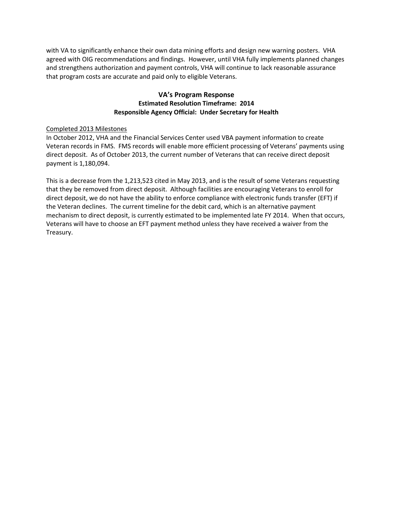with VA to significantly enhance their own data mining efforts and design new warning posters. VHA agreed with OIG recommendations and findings. However, until VHA fully implements planned changes that program costs are accurate and paid only to eligible Veterans. and strengthens authorization and payment controls, VHA will continue to lack reasonable assurance

### **Responsible Agency Official: Under Secretary for Health VA's Program Response Estimated Resolution Timeframe: 2014**

#### Completed 2013 Milestones

 Veteran records in FMS. FMS records will enable more efficient processing of Veterans' payments using direct deposit. As of October 2013, the current number of Veterans that can receive direct deposit In October 2012, VHA and the Financial Services Center used VBA payment information to create payment is 1,180,094.

 This is a decrease from the 1,213,523 cited in May 2013, and is the result of some Veterans requesting that they be removed from direct deposit. Although facilities are encouraging Veterans to enroll for the Veteran declines. The current timeline for the debit card, which is an alternative payment mechanism to direct deposit, is currently estimated to be implemented late FY 2014. When that occurs, Veterans will have to choose an EFT payment method unless they have received a waiver from the direct deposit, we do not have the ability to enforce compliance with electronic funds transfer (EFT) if Treasury.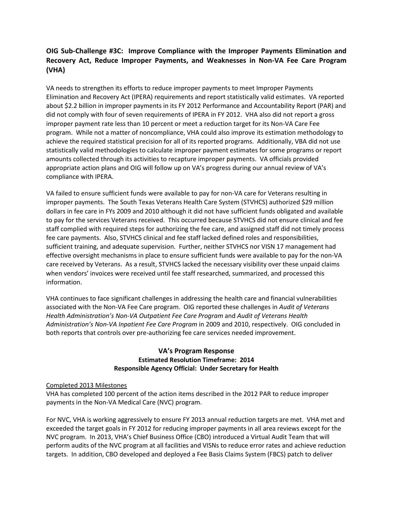# **OIG Sub-Challenge #3C: Improve Compliance with the Improper Payments Elimination and Recovery Act, Reduce Improper Payments, and Weaknesses in Non-VA Fee Care Program (VHA)**

 did not comply with four of seven requirements of IPERA in FY 2012. VHA also did not report a gross program. While not a matter of noncompliance, VHA could also improve its estimation methodology to statistically valid methodologies to calculate improper payment estimates for some programs or report appropriate action plans and OIG will follow up on VA's progress during our annual review of VA's compliance with IPERA. VA needs to strengthen its efforts to reduce improper payments to meet Improper Payments Elimination and Recovery Act (IPERA) requirements and report statistically valid estimates. VA reported about \$2.2 billion in improper payments in its FY 2012 Performance and Accountability Report (PAR) and improper payment rate less than 10 percent or meet a reduction target for its Non-VA Care Fee achieve the required statistical precision for all of its reported programs. Additionally, VBA did not use amounts collected through its activities to recapture improper payments. VA officials provided

 improper payments. The South Texas Veterans Health Care System (STVHCS) authorized \$29 million to pay for the services Veterans received. This occurred because STVHCS did not ensure clinical and fee fee care payments. Also, STVHCS clinical and fee staff lacked defined roles and responsibilities, sufficient training, and adequate supervision. Further, neither STVHCS nor VISN 17 management had effective oversight mechanisms in place to ensure sufficient funds were available to pay for the non-VA care received by Veterans. As a result, STVHCS lacked the necessary visibility over these unpaid claims VA failed to ensure sufficient funds were available to pay for non-VA care for Veterans resulting in dollars in fee care in FYs 2009 and 2010 although it did not have sufficient funds obligated and available staff complied with required steps for authorizing the fee care, and assigned staff did not timely process when vendors' invoices were received until fee staff researched, summarized, and processed this information.

 *Administration's Non-VA Inpatient Fee Care Program* in 2009 and 2010, respectively. OIG concluded in both reports that controls over pre-authorizing fee care services needed improvement. VHA continues to face significant challenges in addressing the health care and financial vulnerabilities associated with the Non-VA Fee Care program. OIG reported these challenges in *Audit of Veterans Health Administration's Non-VA Outpatient Fee Care Program* and *Audit of Veterans Health* 

### **Responsible Agency Official: Under Secretary for Health VA's Program Response Estimated Resolution Timeframe: 2014**

#### Completed 2013 Milestones

VHA has completed 100 percent of the action items described in the 2012 PAR to reduce improper payments in the Non-VA Medical Care (NVC) program.

 For NVC, VHA is working aggressively to ensure FY 2013 annual reduction targets are met. VHA met and exceeded the target goals in FY 2012 for reducing improper payments in all area reviews except for the perform audits of the NVC program at all facilities and VISNs to reduce error rates and achieve reduction targets. In addition, CBO developed and deployed a Fee Basis Claims System (FBCS) patch to deliver NVC program. In 2013, VHA's Chief Business Office (CBO) introduced a Virtual Audit Team that will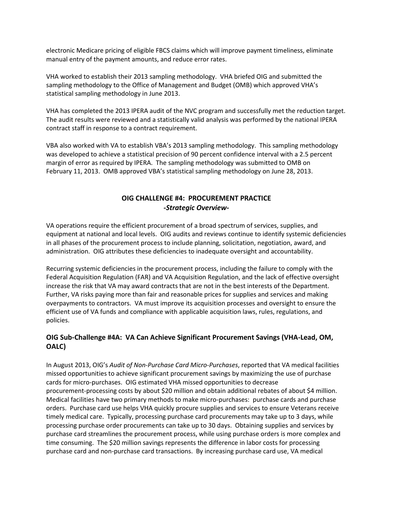manual entry of the payment amounts, and reduce error rates. electronic Medicare pricing of eligible FBCS claims which will improve payment timeliness, eliminate

 VHA worked to establish their 2013 sampling methodology. VHA briefed OIG and submitted the statistical sampling methodology in June 2013. sampling methodology to the Office of Management and Budget (OMB) which approved VHA's

statistical sampling methodology in June 2013.<br>VHA has completed the 2013 IPERA audit of the NVC program and successfully met the reduction target. The audit results were reviewed and a statistically valid analysis was performed by the national IPERA contract staff in response to a contract requirement.

contract staff in response to a contract requirement.<br>VBA also worked with VA to establish VBA's 2013 sampling methodology. This sampling methodology was developed to achieve a statistical precision of 90 percent confidence interval with a 2.5 percent margin of error as required by IPERA. The sampling methodology was submitted to OMB on February 11, 2013. OMB approved VBA's statistical sampling methodology on June 28, 2013.

# **OIG CHALLENGE #4: PROCUREMENT PRACTICE**  *-Strategic Overview-*

 in all phases of the procurement process to include planning, solicitation, negotiation, award, and VA operations require the efficient procurement of a broad spectrum of services, supplies, and equipment at national and local levels. OIG audits and reviews continue to identify systemic deficiencies administration. OIG attributes these deficiencies to inadequate oversight and accountability.

 Federal Acquisition Regulation (FAR) and VA Acquisition Regulation, and the lack of effective oversight increase the risk that VA may award contracts that are not in the best interests of the Department.<br>Further, VA risks paying more than fair and reasonable prices for supplies and services and making policies. Recurring systemic deficiencies in the procurement process, including the failure to comply with the overpayments to contractors. VA must improve its acquisition processes and oversight to ensure the efficient use of VA funds and compliance with applicable acquisition laws, rules, regulations, and

# **OIG Sub-Challenge #4A: VA Can Achieve Significant Procurement Savings (VHA-Lead, OM, OALC)**

 missed opportunities to achieve significant procurement savings by maximizing the use of purchase procurement-processing costs by about \$20 million and obtain additional rebates of about \$4 million. Medical facilities have two primary methods to make micro-purchases: purchase cards and purchase processing purchase order procurements can take up to 30 days. Obtaining supplies and services by purchase card streamlines the procurement process, while using purchase orders is more complex and time consuming. The \$20 million savings represents the difference in labor costs for processing purchase card and non-purchase card transactions. By increasing purchase card use, VA medical In August 2013, OIG's *Audit of Non-Purchase Card Micro-Purchases*, reported that VA medical facilities cards for micro-purchases. OIG estimated VHA missed opportunities to decrease orders. Purchase card use helps VHA quickly procure supplies and services to ensure Veterans receive timely medical care. Typically, processing purchase card procurements may take up to 3 days, while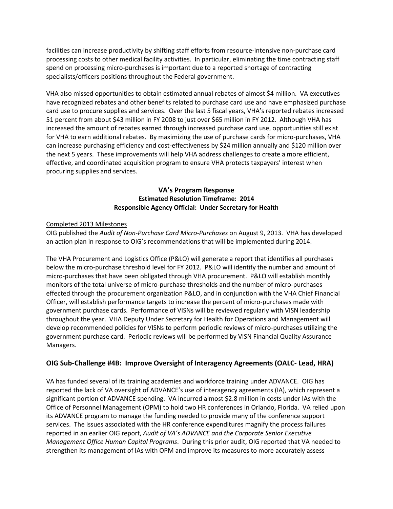processing costs to other medical facility activities. In particular, eliminating the time contracting staff facilities can increase productivity by shifting staff efforts from resource-intensive non-purchase card spend on processing micro-purchases is important due to a reported shortage of contracting specialists/officers positions throughout the Federal government.

 VHA also missed opportunities to obtain estimated annual rebates of almost \$4 million. VA executives 51 percent from about \$43 million in FY 2008 to just over \$65 million in FY 2012. Although VHA has increased the amount of rebates earned through increased purchase card use, opportunities still exist for VHA to earn additional rebates. By maximizing the use of purchase cards for micro-purchases, VHA the next 5 years. These improvements will help VHA address challenges to create a more efficient, procuring supplies and services. have recognized rebates and other benefits related to purchase card use and have emphasized purchase card use to procure supplies and services. Over the last 5 fiscal years, VHA's reported rebates increased can increase purchasing efficiency and cost-effectiveness by \$24 million annually and \$120 million over effective, and coordinated acquisition program to ensure VHA protects taxpayers' interest when

# **Responsible Agency Official: Under Secretary for Health VA's Program Response Estimated Resolution Timeframe: 2014**

### Completed 2013 Milestones

 OIG published the *Audit of Non-Purchase Card Micro-Purchases* on August 9, 2013. VHA has developed an action plan in response to OIG's recommendations that will be implemented during 2014.

 micro-purchases that have been obligated through VHA procurement. P&LO will establish monthly monitors of the total universe of micro-purchase thresholds and the number of micro-purchases effected through the procurement organization P&LO, and in conjunction with the VHA Chief Financial Officer, will establish performance targets to increase the percent of micro-purchases made with throughout the year. VHA Deputy Under Secretary for Health for Operations and Management will The VHA Procurement and Logistics Office (P&LO) will generate a report that identifies all purchases below the micro-purchase threshold level for FY 2012. P&LO will identify the number and amount of government purchase cards. Performance of VISNs will be reviewed regularly with VISN leadership develop recommended policies for VISNs to perform periodic reviews of micro-purchases utilizing the government purchase card. Periodic reviews will be performed by VISN Financial Quality Assurance Managers.

# **OIG Sub-Challenge #4B: Improve Oversight of Interagency Agreements (OALC- Lead, HRA)**

 significant portion of ADVANCE spending. VA incurred almost \$2.8 million in costs under IAs with the Office of Personnel Management (OPM) to hold two HR conferences in Orlando, Florida. VA relied upon its ADVANCE program to manage the funding needed to provide many of the conference support services. The issues associated with the HR conference expenditures magnify the process failures *Management Office Human Capital Programs*. During this prior audit, OIG reported that VA needed to VA has funded several of its training academies and workforce training under ADVANCE. OIG has reported the lack of VA oversight of ADVANCE's use of interagency agreements (IA), which represent a reported in an earlier OIG report, *Audit of VA's ADVANCE and the Corporate Senior Executive*  strengthen its management of IAs with OPM and improve its measures to more accurately assess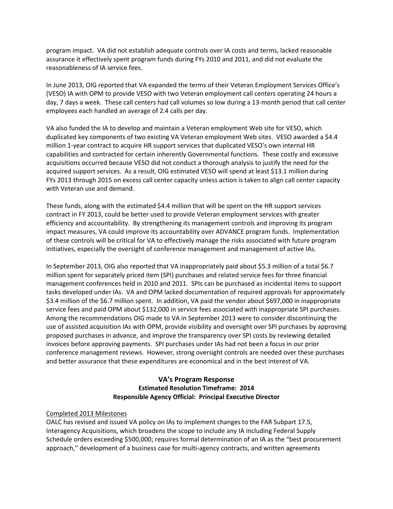assurance it effectively spent program funds during FYs 2010 and 2011, and did not evaluate the program impact. VA did not establish adequate controls over IA costs and terms, lacked reasonable reasonableness of IA service fees.

 In June 2013, OIG reported that VA expanded the terms of their Veteran Employment Services Office's (VESO) IA with OPM to provide VESO with two Veteran employment call centers operating 24 hours a employees each handled an average of 2.4 calls per day. day, 7 days a week. These call centers had call volumes so low during a 13-month period that call center

employees each handled an average of 2.4 calls per day.<br>VA also funded the IA to develop and maintain a Veteran employment Web site for VESO, which duplicated key components of two existing VA Veteran employment Web sites. VESO awarded a \$4.4 acquisitions occurred because VESO did not conduct a thorough analysis to justify the need for the acquired support services. As a result, OIG estimated VESO will spend at least \$13.1 million during FYs 2013 through 2015 on excess call center capacity unless action is taken to align call center capacity with Veteran use and demand. million 1-year contract to acquire HR support services that duplicated VESO's own internal HR capabilities and contracted for certain inherently Governmental functions. These costly and excessive

with Veteran use and demand.<br>These funds, along with the estimated \$4.4 million that will be spent on the HR support services contract in FY 2013, could be better used to provide Veteran employment services with greater efficiency and accountability. By strengthening its management controls and improving its program of these controls will be critical for VA to effectively manage the risks associated with future program impact measures, VA could improve its accountability over ADVANCE program funds. Implementation initiatives, especially the oversight of conference management and management of active IAs.

 In September 2013, OIG also reported that VA inappropriately paid about \$5.3 million of a total \$6.7 service fees and paid OPM about \$132,000 in service fees associated with inappropriate SPI purchases. Among the recommendations OIG made to VA in September 2013 were to consider discontinuing the use of assisted acquisition IAs with OPM, provide visibility and oversight over SPI purchases by approving proposed purchases in advance, and improve the transparency over SPI costs by reviewing detailed million spent for separately priced item (SPI) purchases and related service fees for three financial management conferences held in 2010 and 2011. SPIs can be purchased as incidental items to support tasks developed under IAs. VA and OPM lacked documentation of required approvals for approximately \$3.4 million of the \$6.7 million spent. In addition, VA paid the vendor about \$697,000 in inappropriate invoices before approving payments. SPI purchases under IAs had not been a focus in our prior conference management reviews. However, strong oversight controls are needed over these purchases and better assurance that these expenditures are economical and in the best interest of VA.

### **Responsible Agency Official: Principal Executive Director VA's Program Response Estimated Resolution Timeframe: 2014**

#### Completed 2013 Milestones

 OALC has revised and issued VA policy on IAs to implement changes to the FAR Subpart 17.5, Interagency Acquisitions, which broadens the scope to include any IA including Federal Supply Schedule orders exceeding \$500,000; requires formal determination of an IA as the "best procurement approach," development of a business case for multi-agency contracts, and written agreements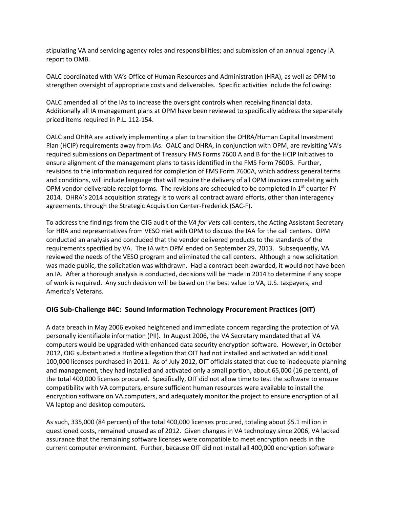stipulating VA and servicing agency roles and responsibilities; and submission of an annual agency IA report to OMB.

 OALC coordinated with VA's Office of Human Resources and Administration (HRA), as well as OPM to strengthen oversight of appropriate costs and deliverables. Specific activities include the following:

 Additionally all IA management plans at OPM have been reviewed to specifically address the separately priced items required in P.L. 112-154. OALC amended all of the IAs to increase the oversight controls when receiving financial data.

priced items required in P.L. 112-154.<br>OALC and OHRA are actively implementing a plan to transition the OHRA/Human Capital Investment required submissions on Department of Treasury FMS Forms 7600 A and B for the HCIP Initiatives to ensure alignment of the management plans to tasks identified in the FMS Form 7600B. Further, and conditions, will include language that will require the delivery of all OPM invoices correlating with 2014. OHRA's 2014 acquisition strategy is to work all contract award efforts, other than interagency Plan (HCIP) requirements away from IAs. OALC and OHRA, in conjunction with OPM, are revisiting VA's revisions to the information required for completion of FMS Form 7600A, which address general terms OPM vendor deliverable receipt forms. The revisions are scheduled to be completed in  $1<sup>st</sup>$  quarter FY agreements, through the Strategic Acquisition Center-Frederick (SAC-F).

 for HRA and representatives from VESO met with OPM to discuss the IAA for the call centers. OPM conducted an analysis and concluded that the vendor delivered products to the standards of the requirements specified by VA. The IA with OPM ended on September 29, 2013. Subsequently, VA reviewed the needs of the VESO program and eliminated the call centers. Although a new solicitation was made public, the solicitation was withdrawn. Had a contract been awarded, it would not have been an IA. After a thorough analysis is conducted, decisions will be made in 2014 to determine if any scope To address the findings from the OIG audit of the *VA for Vets* call centers, the Acting Assistant Secretary of work is required. Any such decision will be based on the best value to VA, U.S. taxpayers, and America's Veterans.

# **OIG Sub-Challenge #4C: Sound Information Technology Procurement Practices (OIT)**

 A data breach in May 2006 evoked heightened and immediate concern regarding the protection of VA personally identifiable information (PII). In August 2006, the VA Secretary mandated that all VA computers would be upgraded with enhanced data security encryption software. However, in October 2012, OIG substantiated a Hotline allegation that OIT had not installed and activated an additional 100,000 licenses purchased in 2011. As of July 2012, OIT officials stated that due to inadequate planning the total 400,000 licenses procured. Specifically, OIT did not allow time to test the software to ensure encryption software on VA computers, and adequately monitor the project to ensure encryption of all and management, they had installed and activated only a small portion, about 65,000 (16 percent), of compatibility with VA computers, ensure sufficient human resources were available to install the VA laptop and desktop computers.

 As such, 335,000 (84 percent) of the total 400,000 licenses procured, totaling about \$5.1 million in questioned costs, remained unused as of 2012. Given changes in VA technology since 2006, VA lacked assurance that the remaining software licenses were compatible to meet encryption needs in the current computer environment. Further, because OIT did not install all 400,000 encryption software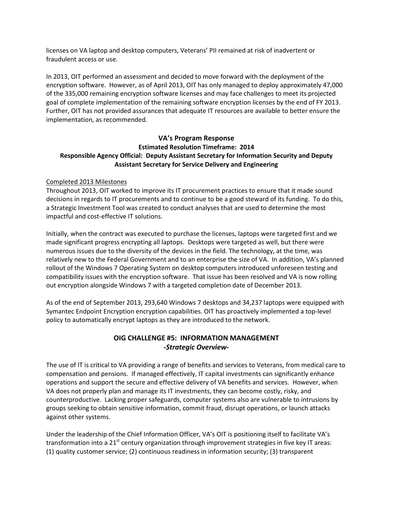licenses on VA laptop and desktop computers, Veterans' PII remained at risk of inadvertent or fraudulent access or use.

 In 2013, OIT performed an assessment and decided to move forward with the deployment of the goal of complete implementation of the remaining software encryption licenses by the end of FY 2013. encryption software. However, as of April 2013, OIT has only managed to deploy approximately 47,000 of the 335,000 remaining encryption software licenses and may face challenges to meet its projected Further, OIT has not provided assurances that adequate IT resources are available to better ensure the implementation, as recommended.

### **Responsible Agency Official: Deputy Assistant Secretary for Information Security and Deputy VA's Program Response Estimated Resolution Timeframe: 2014 Assistant Secretary for Service Delivery and Engineering**

#### Completed 2013 Milestones

 decisions in regards to IT procurements and to continue to be a good steward of its funding. To do this, Throughout 2013, OIT worked to improve its IT procurement practices to ensure that it made sound a Strategic Investment Tool was created to conduct analyses that are used to determine the most impactful and cost-effective IT solutions.

 Initially, when the contract was executed to purchase the licenses, laptops were targeted first and we made significant progress encrypting all laptops. Desktops were targeted as well, but there were numerous issues due to the diversity of the devices in the field. The technology, at the time, was relatively new to the Federal Government and to an enterprise the size of VA. In addition, VA's planned rollout of the Windows 7 Operating System on desktop computers introduced unforeseen testing and compatibility issues with the encryption software. That issue has been resolved and VA is now rolling out encryption alongside Windows 7 with a targeted completion date of December 2013.

 As of the end of September 2013, 293,640 Windows 7 desktops and 34,237 laptops were equipped with Symantec Endpoint Encryption encryption capabilities. OIT has proactively implemented a top-level policy to automatically encrypt laptops as they are introduced to the network.

# **OIG CHALLENGE #5: INFORMATION MANAGEMENT**  *-Strategic Overview-*

 The use of IT is critical to VA providing a range of benefits and services to Veterans, from medical care to counterproductive. Lacking proper safeguards, computer systems also are vulnerable to intrusions by compensation and pensions. If managed effectively, IT capital investments can significantly enhance operations and support the secure and effective delivery of VA benefits and services. However, when VA does not properly plan and manage its IT investments, they can become costly, risky, and groups seeking to obtain sensitive information, commit fraud, disrupt operations, or launch attacks against other systems.

Under the leadership of the Chief Information Officer, VA's OIT is positioning itself to facilitate VA's transformation into a  $21<sup>st</sup>$  century organization through improvement strategies in five key IT areas: (1) quality customer service; (2) continuous readiness in information security; (3) transparent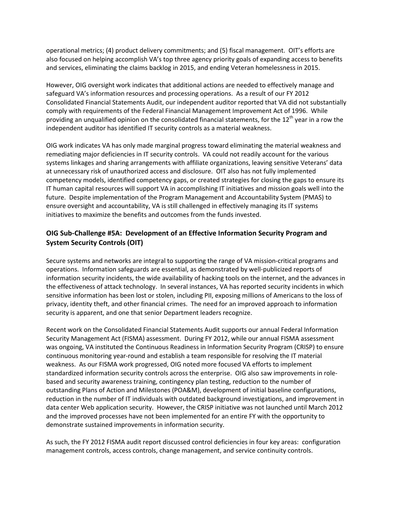also focused on helping accomplish VA's top three agency priority goals of expanding access to benefits and services, eliminating the claims backlog in 2015, and ending Veteran homelessness in 2015. operational metrics; (4) product delivery commitments; and (5) fiscal management. OIT's efforts are

 However, OIG oversight work indicates that additional actions are needed to effectively manage and safeguard VA's information resources and processing operations. As a result of our FY 2012 Consolidated Financial Statements Audit, our independent auditor reported that VA did not substantially comply with requirements of the Federal Financial Management Improvement Act of 1996. While providing an unqualified opinion on the consolidated financial statements, for the  $12<sup>th</sup>$  year in a row the independent auditor has identified IT security controls as a material weakness.

 OIG work indicates VA has only made marginal progress toward eliminating the material weakness and remediating major deficiencies in IT security controls. VA could not readily account for the various at unnecessary risk of unauthorized access and disclosure. OIT also has not fully implemented systems linkages and sharing arrangements with affiliate organizations, leaving sensitive Veterans' data competency models, identified competency gaps, or created strategies for closing the gaps to ensure its IT human capital resources will support VA in accomplishing IT initiatives and mission goals well into the future. Despite implementation of the Program Management and Accountability System (PMAS) to ensure oversight and accountability, VA is still challenged in effectively managing its IT systems initiatives to maximize the benefits and outcomes from the funds invested.

# **OIG Sub-Challenge #5A: Development of an Effective Information Security Program and System Security Controls (OIT)**

 Secure systems and networks are integral to supporting the range of VA mission-critical programs and operations. Information safeguards are essential, as demonstrated by well-publicized reports of information security incidents, the wide availability of hacking tools on the internet, and the advances in the effectiveness of attack technology. In several instances, VA has reported security incidents in which security is apparent, and one that senior Department leaders recognize. sensitive information has been lost or stolen, including PII, exposing millions of Americans to the loss of privacy, identity theft, and other financial crimes. The need for an improved approach to information

 Security Management Act (FISMA) assessment. During FY 2012, while our annual FISMA assessment was ongoing, VA instituted the Continuous Readiness in Information Security Program (CRISP) to ensure standardized information security controls across the enterprise. OIG also saw improvements in role- based and security awareness training, contingency plan testing, reduction to the number of outstanding Plans of Action and Milestones (POA&M), development of initial baseline configurations, reduction in the number of IT individuals with outdated background investigations, and improvement in and the improved processes have not been implemented for an entire FY with the opportunity to demonstrate sustained improvements in information security. Recent work on the Consolidated Financial Statements Audit supports our annual Federal Information continuous monitoring year-round and establish a team responsible for resolving the IT material weakness. As our FISMA work progressed, OIG noted more focused VA efforts to implement data center Web application security. However, the CRISP initiative was not launched until March 2012

 management controls, access controls, change management, and service continuity controls. As such, the FY 2012 FISMA audit report discussed control deficiencies in four key areas: configuration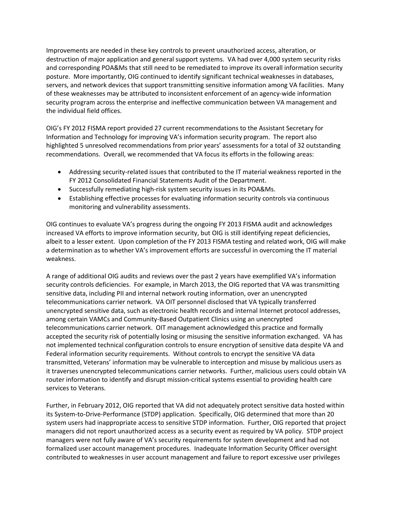Improvements are needed in these key controls to prevent unauthorized access, alteration, or destruction of major application and general support systems. VA had over 4,000 system security risks posture. More importantly, OIG continued to identify significant technical weaknesses in databases, servers, and network devices that support transmitting sensitive information among VA facilities. Many the individual field offices. and corresponding POA&Ms that still need to be remediated to improve its overall information security of these weaknesses may be attributed to inconsistent enforcement of an agency-wide information security program across the enterprise and ineffective communication between VA management and

 Information and Technology for improving VA's information security program. The report also highlighted 5 unresolved recommendations from prior years' assessments for a total of 32 outstanding OIG's FY 2012 FISMA report provided 27 current recommendations to the Assistant Secretary for recommendations. Overall, we recommended that VA focus its efforts in the following areas:

- • Addressing security-related issues that contributed to the IT material weakness reported in the FY 2012 Consolidated Financial Statements Audit of the Department.
- Successfully remediating high-risk system security issues in its POA&Ms.
- Establishing effective processes for evaluating information security controls via continuous monitoring and vulnerability assessments.

 OIG continues to evaluate VA's progress during the ongoing FY 2013 FISMA audit and acknowledges increased VA efforts to improve information security, but OIG is still identifying repeat deficiencies, albeit to a lesser extent. Upon completion of the FY 2013 FISMA testing and related work, OIG will make a determination as to whether VA's improvement efforts are successful in overcoming the IT material weakness.

 A range of additional OIG audits and reviews over the past 2 years have exemplified VA's information sensitive data, including PII and internal network routing information, over an unencrypted Federal information security requirements. Without controls to encrypt the sensitive VA data transmitted, Veterans' information may be vulnerable to interception and misuse by malicious users as it traverses unencrypted telecommunications carrier networks. Further, malicious users could obtain VA security controls deficiencies. For example, in March 2013, the OIG reported that VA was transmitting telecommunications carrier network. VA OIT personnel disclosed that VA typically transferred unencrypted sensitive data, such as electronic health records and internal Internet protocol addresses, among certain VAMCs and Community-Based Outpatient Clinics using an unencrypted telecommunications carrier network. OIT management acknowledged this practice and formally accepted the security risk of potentially losing or misusing the sensitive information exchanged. VA has not implemented technical configuration controls to ensure encryption of sensitive data despite VA and router information to identify and disrupt mission-critical systems essential to providing health care services to Veterans.

 its System-to-Drive-Performance (STDP) application. Specifically, OIG determined that more than 20 managers did not report unauthorized access as a security event as required by VA policy. STDP project contributed to weaknesses in user account management and failure to report excessive user privileges Further, in February 2012, OIG reported that VA did not adequately protect sensitive data hosted within system users had inappropriate access to sensitive STDP information. Further, OIG reported that project managers were not fully aware of VA's security requirements for system development and had not formalized user account management procedures. Inadequate Information Security Officer oversight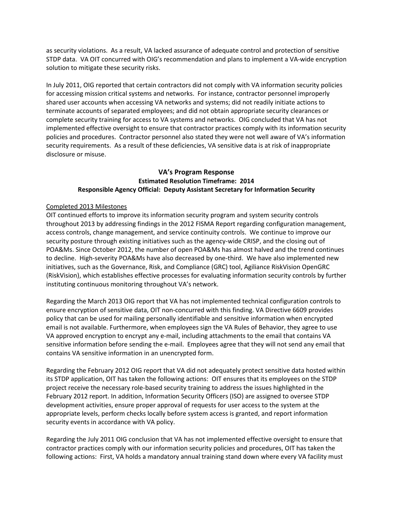as security violations. As a result, VA lacked assurance of adequate control and protection of sensitive STDP data. VA OIT concurred with OIG's recommendation and plans to implement a VA-wide encryption solution to mitigate these security risks.

 complete security training for access to VA systems and networks. OIG concluded that VA has not security requirements. As a result of these deficiencies, VA sensitive data is at risk of inappropriate In July 2011, OIG reported that certain contractors did not comply with VA information security policies for accessing mission critical systems and networks. For instance, contractor personnel improperly shared user accounts when accessing VA networks and systems; did not readily initiate actions to terminate accounts of separated employees; and did not obtain appropriate security clearances or implemented effective oversight to ensure that contractor practices comply with its information security policies and procedures. Contractor personnel also stated they were not well aware of VA's information disclosure or misuse.

# **Responsible Agency Official: Deputy Assistant Secretary for Information Security VA's Program Response Estimated Resolution Timeframe: 2014**

#### Completed 2013 Milestones

 throughout 2013 by addressing findings in the 2012 FISMA Report regarding configuration management, access controls, change management, and service continuity controls. We continue to improve our security posture through existing initiatives such as the agency-wide CRISP, and the closing out of POA&Ms. Since October 2012, the number of open POA&Ms has almost halved and the trend continues to decline. High-severity POA&Ms have also decreased by one-third. We have also implemented new initiatives, such as the Governance, Risk, and Compliance (GRC) tool, Agiliance RiskVision OpenGRC instituting continuous monitoring throughout VA's network. OIT continued efforts to improve its information security program and system security controls (RiskVision), which establishes effective processes for evaluating information security controls by further

instituting continuous monitoring throughout VA's network.<br>Regarding the March 2013 OIG report that VA has not implemented technical configuration controls to email is not available. Furthermore, when employees sign the VA Rules of Behavior, they agree to use sensitive information before sending the e-mail. Employees agree that they will not send any email that ensure encryption of sensitive data, OIT non-concurred with this finding. VA Directive 6609 provides policy that can be used for mailing personally identifiable and sensitive information when encrypted VA approved encryption to encrypt any e-mail, including attachments to the email that contains VA contains VA sensitive information in an unencrypted form.

 Regarding the February 2012 OIG report that VA did not adequately protect sensitive data hosted within its STDP application, OIT has taken the following actions: OIT ensures that its employees on the STDP development activities, ensure proper approval of requests for user access to the system at the project receive the necessary role-based security training to address the issues highlighted in the February 2012 report. In addition, Information Security Officers (ISO) are assigned to oversee STDP appropriate levels, perform checks locally before system access is granted, and report information security events in accordance with VA policy.

 contractor practices comply with our information security policies and procedures, OIT has taken the following actions: First, VA holds a mandatory annual training stand down where every VA facility must Regarding the July 2011 OIG conclusion that VA has not implemented effective oversight to ensure that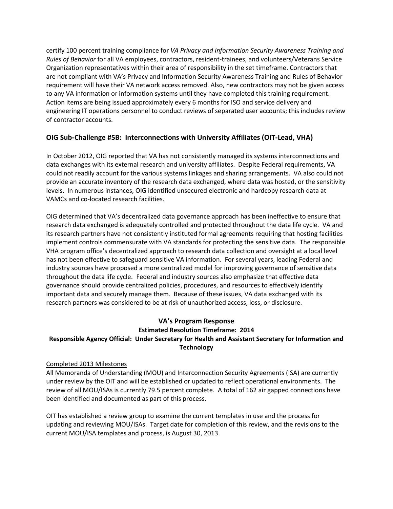certify 100 percent training compliance for *VA Privacy and Information Security Awareness Training and*  Organization representatives within their area of responsibility in the set timeframe. Contractors that requirement will have their VA network access removed. Also, new contractors may not be given access Action items are being issued approximately every 6 months for ISO and service delivery and *Rules of Behavior* for all VA employees, contractors, resident-trainees, and volunteers/Veterans Service are not compliant with VA's Privacy and Information Security Awareness Training and Rules of Behavior to any VA information or information systems until they have completed this training requirement. engineering IT operations personnel to conduct reviews of separated user accounts; this includes review of contractor accounts.

# **OIG Sub-Challenge #5B: Interconnections with University Affiliates (OIT-Lead, VHA)**

 data exchanges with its external research and university affiliates. Despite Federal requirements, VA could not readily account for the various systems linkages and sharing arrangements. VA also could not provide an accurate inventory of the research data exchanged, where data was hosted, or the sensitivity VAMCs and co-located research facilities. In October 2012, OIG reported that VA has not consistently managed its systems interconnections and levels. In numerous instances, OIG identified unsecured electronic and hardcopy research data at

 OIG determined that VA's decentralized data governance approach has been ineffective to ensure that research data exchanged is adequately controlled and protected throughout the data life cycle. VA and implement controls commensurate with VA standards for protecting the sensitive data. The responsible has not been effective to safeguard sensitive VA information. For several years, leading Federal and industry sources have proposed a more centralized model for improving governance of sensitive data throughout the data life cycle. Federal and industry sources also emphasize that effective data research partners was considered to be at risk of unauthorized access, loss, or disclosure. its research partners have not consistently instituted formal agreements requiring that hosting facilities VHA program office's decentralized approach to research data collection and oversight at a local level governance should provide centralized policies, procedures, and resources to effectively identify important data and securely manage them. Because of these issues, VA data exchanged with its

# **VA's Program Response Estimated Resolution Timeframe: 2014**

# **Responsible Agency Official: Under Secretary for Health and Assistant Secretary for Information and Technology**

#### Completed 2013 Milestones

 under review by the OIT and will be established or updated to reflect operational environments. The review of all MOU/ISAs is currently 79.5 percent complete. A total of 162 air gapped connections have been identified and documented as part of this process. All Memoranda of Understanding (MOU) and Interconnection Security Agreements (ISA) are currently

been identified and documented as part of this process.<br>OIT has established a review group to examine the current templates in use and the process for updating and reviewing MOU/ISAs. Target date for completion of this review, and the revisions to the current MOU/ISA templates and process, is August 30, 2013.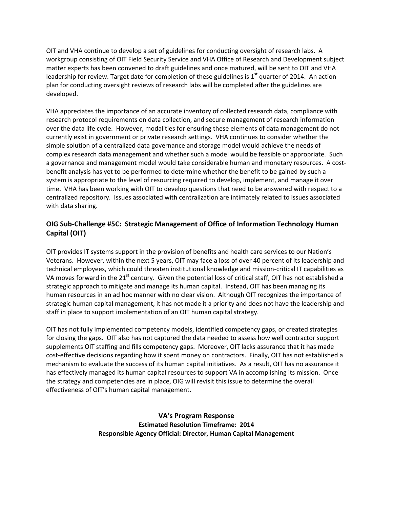OIT and VHA continue to develop a set of guidelines for conducting oversight of research labs. A workgroup consisting of OIT Field Security Service and VHA Office of Research and Development subject matter experts has been convened to draft guidelines and once matured, will be sent to OIT and VHA leadership for review. Target date for completion of these guidelines is  $1<sup>st</sup>$  quarter of 2014. An action plan for conducting oversight reviews of research labs will be completed after the guidelines are developed.

 VHA appreciates the importance of an accurate inventory of collected research data, compliance with research protocol requirements on data collection, and secure management of research information over the data life cycle. However, modalities for ensuring these elements of data management do not currently exist in government or private research settings. VHA continues to consider whether the simple solution of a centralized data governance and storage model would achieve the needs of complex research data management and whether such a model would be feasible or appropriate. Such a governance and management model would take considerable human and monetary resources. A cost‐ benefit analysis has yet to be performed to determine whether the benefit to be gained by such a system is appropriate to the level of resourcing required to develop, implement, and manage it over time. VHA has been working with OIT to develop questions that need to be answered with respect to a centralized repository. Issues associated with centralization are intimately related to issues associated with data sharing.

# **OIG Sub‐Challenge #5C: Strategic Management of Office of Information Technology Human Capital (OIT)**

 OIT provides IT systems support in the provision of benefits and health care services to our Nation's Veterans. However, within the next 5 years, OIT may face a loss of over 40 percent of its leadership and technical employees, which could threaten institutional knowledge and mission‐critical IT capabilities as VA moves forward in the 21<sup>st</sup> century. Given the potential loss of critical staff, OIT has not established a strategic approach to mitigate and manage its human capital. Instead, OIT has been managing its human resources in an ad hoc manner with no clear vision. Although OIT recognizes the importance of strategic human capital management, it has not made it a priority and does not have the leadership and staff in place to support implementation of an OIT human capital strategy.

 OIT has not fully implemented competency models, identified competency gaps, or created strategies for closing the gaps. OIT also has not captured the data needed to assess how well contractor support supplements OIT staffing and fills competency gaps. Moreover, OIT lacks assurance that it has made cost‐effective decisions regarding how it spent money on contractors. Finally, OIT has not established a mechanism to evaluate the success of its human capital initiatives. As a result, OIT has no assurance it has effectively managed its human capital resources to support VA in accomplishing its mission. Once the strategy and competencies are in place, OIG will revisit this issue to determine the overall effectiveness of OIT's human capital management.

> **VA's Program Response Estimated Resolution Timeframe: 2014 Responsible Agency Official: Director, Human Capital Management**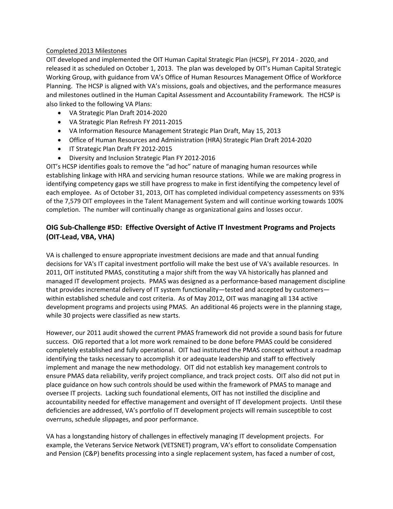#### Completed 2013 Milestones

 OIT developed and implemented the OIT Human Capital Strategic Plan (HCSP), FY 2014 ‐ 2020, and released it as scheduled on October 1, 2013. The plan was developed by OIT's Human Capital Strategic Working Group, with guidance from VA's Office of Human Resources Management Office of Workforce Planning. The HCSP is aligned with VA's missions, goals and objectives, and the performance measures and milestones outlined in the Human Capital Assessment and Accountability Framework. The HCSP is also linked to the following VA Plans:

- VA Strategic Plan Draft 2014‐2020
- VA Strategic Plan Refresh FY 2011‐2015
- VA Information Resource Management Strategic Plan Draft, May 15, 2013
- Office of Human Resources and Administration (HRA) Strategic Plan Draft 2014‐2020
- IT Strategic Plan Draft FY 2012‐2015
- Diversity and Inclusion Strategic Plan FY 2012-2016

 OIT's HCSP identifies goals to remove the "ad hoc" nature of managing human resources while establishing linkage with HRA and servicing human resource stations. While we are making progress in identifying competency gaps we still have progress to make in first identifying the competency level of each employee. As of October 31, 2013, OIT has completed individual competency assessments on 93% of the 7,579 OIT employees in the Talent Management System and will continue working towards 100% completion. The number will continually change as organizational gains and losses occur.

# **OIG Sub‐Challenge #5D: Effective Oversight of Active IT Investment Programs and Projects (OIT‐Lead, VBA, VHA)**

 VA is challenged to ensure appropriate investment decisions are made and that annual funding decisions for VA's IT capital investment portfolio will make the best use of VA's available resources. In 2011, OIT instituted PMAS, constituting a major shift from the way VA historically has planned and managed IT development projects. PMAS was designed as a performance‐based management discipline that provides incremental delivery of IT system functionality—tested and accepted by customers— within established schedule and cost criteria. As of May 2012, OIT was managing all 134 active development programs and projects using PMAS. An additional 46 projects were in the planning stage, while 30 projects were classified as new starts.

 However, our 2011 audit showed the current PMAS framework did not provide a sound basis for future success. OIG reported that a lot more work remained to be done before PMAS could be considered completely established and fully operational. OIT had instituted the PMAS concept without a roadmap identifying the tasks necessary to accomplish it or adequate leadership and staff to effectively implement and manage the new methodology. OIT did not establish key management controls to ensure PMAS data reliability, verify project compliance, and track project costs. OIT also did not put in place guidance on how such controls should be used within the framework of PMAS to manage and oversee IT projects. Lacking such foundational elements, OIT has not instilled the discipline and accountability needed for effective management and oversight of IT development projects. Until these deficiencies are addressed, VA's portfolio of IT development projects will remain susceptible to cost overruns, schedule slippages, and poor performance.

 VA has a longstanding history of challenges in effectively managing IT development projects. For example, the Veterans Service Network (VETSNET) program, VA's effort to consolidate Compensation and Pension (C&P) benefits processing into a single replacement system, has faced a number of cost,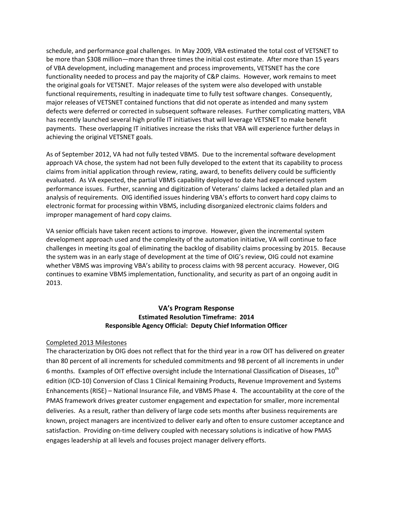schedule, and performance goal challenges. In May 2009, VBA estimated the total cost of VETSNET to be more than \$308 million—more than three times the initial cost estimate. After more than 15 years of VBA development, including management and process improvements, VETSNET has the core functionality needed to process and pay the majority of C&P claims. However, work remains to meet the original goals for VETSNET. Major releases of the system were also developed with unstable functional requirements, resulting in inadequate time to fully test software changes. Consequently, major releases of VETSNET contained functions that did not operate as intended and many system defects were deferred or corrected in subsequent software releases. Further complicating matters, VBA has recently launched several high profile IT initiatives that will leverage VETSNET to make benefit payments. These overlapping IT initiatives increase the risks that VBA will experience further delays in achieving the original VETSNET goals.

 As of September 2012, VA had not fully tested VBMS. Due to the incremental software development approach VA chose, the system had not been fully developed to the extent that its capability to process claims from initial application through review, rating, award, to benefits delivery could be sufficiently evaluated. As VA expected, the partial VBMS capability deployed to date had experienced system performance issues. Further, scanning and digitization of Veterans' claims lacked a detailed plan and an analysis of requirements. OIG identified issues hindering VBA's efforts to convert hard copy claims to electronic format for processing within VBMS, including disorganized electronic claims folders and improper management of hard copy claims.

 VA senior officials have taken recent actions to improve. However, given the incremental system development approach used and the complexity of the automation initiative, VA will continue to face challenges in meeting its goal of eliminating the backlog of disability claims processing by 2015. Because the system was in an early stage of development at the time of OIG's review, OIG could not examine whether VBMS was improving VBA's ability to process claims with 98 percent accuracy. However, OIG continues to examine VBMS implementation, functionality, and security as part of an ongoing audit in 2013.

### **VA's Program Response Estimated Resolution Timeframe: 2014 Responsible Agency Official: Deputy Chief Information Officer**

### Completed 2013 Milestones

 The characterization by OIG does not reflect that for the third year in a row OIT has delivered on greater than 80 percent of all increments for scheduled commitments and 98 percent of all increments in under 6 months. Examples of OIT effective oversight include the International Classification of Diseases,  $10^{\text{th}}$  edition (ICD‐10) Conversion of Class 1 Clinical Remaining Products, Revenue Improvement and Systems Enhancements (RISE) – National Insurance File, and VBMS Phase 4. The accountability at the core of the PMAS framework drives greater customer engagement and expectation for smaller, more incremental deliveries. As a result, rather than delivery of large code sets months after business requirements are known, project managers are incentivized to deliver early and often to ensure customer acceptance and satisfaction. Providing on-time delivery coupled with necessary solutions is indicative of how PMAS engages leadership at all levels and focuses project manager delivery efforts.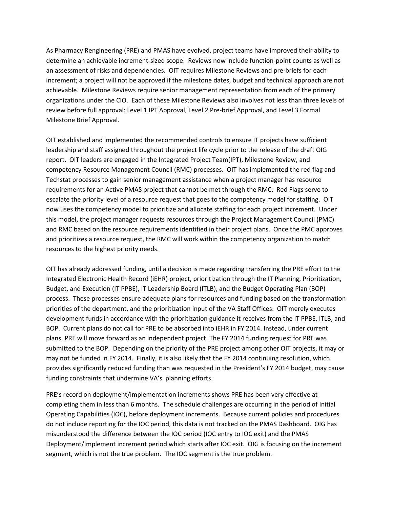As Pharmacy Rengineering (PRE) and PMAS have evolved, project teams have improved their ability to determine an achievable increment-sized scope. Reviews now include function-point counts as well as achievable. Milestone Reviews require senior management representation from each of the primary organizations under the CIO. Each of these Milestone Reviews also involves not less than three levels of review before full approval: Level 1 IPT Approval, Level 2 Pre-brief Approval, and Level 3 Formal an assessment of risks and dependencies. OIT requires Milestone Reviews and pre-briefs for each increment; a project will not be approved if the milestone dates, budget and technical approach are not Milestone Brief Approval.

 OIT established and implemented the recommended controls to ensure IT projects have sufficient report. OIT leaders are engaged in the Integrated Project Team(IPT), Milestone Review, and Techstat processes to gain senior management assistance when a project manager has resource requirements for an Active PMAS project that cannot be met through the RMC. Red Flags serve to escalate the priority level of a resource request that goes to the competency model for staffing. OIT now uses the competency model to prioritize and allocate staffing for each project increment. Under and RMC based on the resource requirements identified in their project plans. Once the PMC approves and prioritizes a resource request, the RMC will work within the competency organization to match leadership and staff assigned throughout the project life cycle prior to the release of the draft OIG competency Resource Management Council (RMC) processes. OIT has implemented the red flag and this model, the project manager requests resources through the Project Management Council (PMC) resources to the highest priority needs.

 OIT has already addressed funding, until a decision is made regarding transferring the PRE effort to the Budget, and Execution (IT PPBE), IT Leadership Board (ITLB), and the Budget Operating Plan (BOP) BOP. Current plans do not call for PRE to be absorbed into iEHR in FY 2014. Instead, under current submitted to the BOP. Depending on the priority of the PRE project among other OIT projects, it may or may not be funded in FY 2014. Finally, it is also likely that the FY 2014 continuing resolution, which provides significantly reduced funding than was requested in the President's FY 2014 budget, may cause Integrated Electronic Health Record (iEHR) project, prioritization through the IT Planning, Prioritization, process. These processes ensure adequate plans for resources and funding based on the transformation priorities of the department, and the prioritization input of the VA Staff Offices. OIT merely executes development funds in accordance with the prioritization guidance it receives from the IT PPBE, ITLB, and plans, PRE will move forward as an independent project. The FY 2014 funding request for PRE was funding constraints that undermine VA's planning efforts.

 PRE's record on deployment/implementation increments shows PRE has been very effective at completing them in less than 6 months. The schedule challenges are occurring in the period of Initial do not include reporting for the IOC period, this data is not tracked on the PMAS Dashboard. OIG has misunderstood the difference between the IOC period (IOC entry to IOC exit) and the PMAS Deployment/Implement increment period which starts after IOC exit. OIG is focusing on the increment segment, which is not the true problem. The IOC segment is the true problem. Operating Capabilities (IOC), before deployment increments. Because current policies and procedures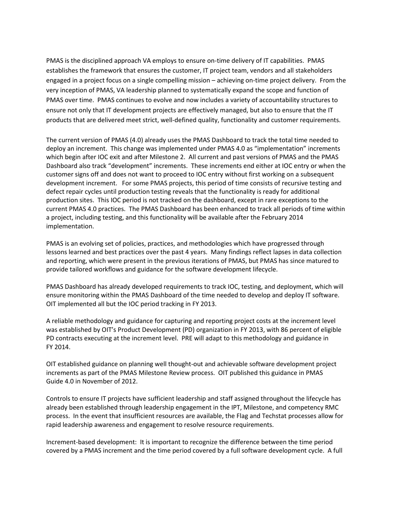engaged in a project focus on a single compelling mission – achieving on-time project delivery. From the very inception of PMAS, VA leadership planned to systematically expand the scope and function of PMAS is the disciplined approach VA employs to ensure on-time delivery of IT capabilities. PMAS establishes the framework that ensures the customer, IT project team, vendors and all stakeholders PMAS over time. PMAS continues to evolve and now includes a variety of accountability structures to ensure not only that IT development projects are effectively managed, but also to ensure that the IT products that are delivered meet strict, well-defined quality, functionality and customer requirements.

 which begin after IOC exit and after Milestone 2. All current and past versions of PMAS and the PMAS Dashboard also track "development" increments. These increments end either at IOC entry or when the customer signs off and does not want to proceed to IOC entry without first working on a subsequent development increment. For some PMAS projects, this period of time consists of recursive testing and current PMAS 4.0 practices. The PMAS Dashboard has been enhanced to track all periods of time within The current version of PMAS (4.0) already uses the PMAS Dashboard to track the total time needed to deploy an increment. This change was implemented under PMAS 4.0 as "implementation" increments defect repair cycles until production testing reveals that the functionality is ready for additional production sites. This IOC period is not tracked on the dashboard, except in rare exceptions to the a project, including testing, and this functionality will be available after the February 2014 implementation.

 PMAS is an evolving set of policies, practices, and methodologies which have progressed through and reporting, which were present in the previous iterations of PMAS, but PMAS has since matured to provide tailored workflows and guidance for the software development lifecycle. lessons learned and best practices over the past 4 years. Many findings reflect lapses in data collection

 ensure monitoring within the PMAS Dashboard of the time needed to develop and deploy IT software. OIT implemented all but the IOC period tracking in FY 2013. PMAS Dashboard has already developed requirements to track IOC, testing, and deployment, which will

 was established by OIT's Product Development (PD) organization in FY 2013, with 86 percent of eligible PD contracts executing at the increment level. PRE will adapt to this methodology and guidance in FY 2014. A reliable methodology and guidance for capturing and reporting project costs at the increment level

OIT established guidance on planning well thought-out and achievable software development project increments as part of the PMAS Milestone Review process. OIT published this guidance in PMAS Guide 4.0 in November of 2012.

 Controls to ensure IT projects have sufficient leadership and staff assigned throughout the lifecycle has rapid leadership awareness and engagement to resolve resource requirements. already been established through leadership engagement in the IPT, Milestone, and competency RMC process. In the event that insufficient resources are available, the Flag and Techstat processes allow for

Increment-based development: It is important to recognize the difference between the time period covered by a PMAS increment and the time period covered by a full software development cycle. A full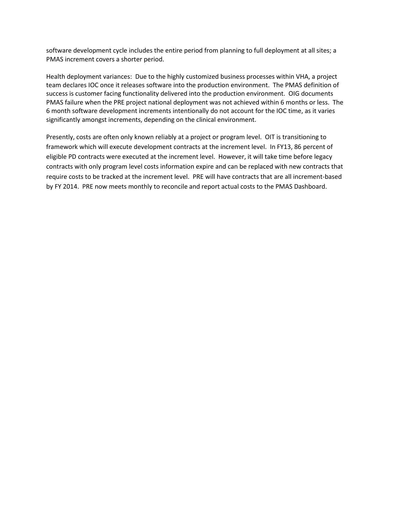software development cycle includes the entire period from planning to full deployment at all sites; a PMAS increment covers a shorter period.

 team declares IOC once it releases software into the production environment. The PMAS definition of PMAS failure when the PRE project national deployment was not achieved within 6 months or less. The significantly amongst increments, depending on the clinical environment. Health deployment variances: Due to the highly customized business processes within VHA, a project success is customer facing functionality delivered into the production environment. OIG documents 6 month software development increments intentionally do not account for the IOC time, as it varies

 framework which will execute development contracts at the increment level. In FY13, 86 percent of eligible PD contracts were executed at the increment level. However, it will take time before legacy contracts with only program level costs information expire and can be replaced with new contracts that require costs to be tracked at the increment level. PRE will have contracts that are all increment-based by FY 2014. PRE now meets monthly to reconcile and report actual costs to the PMAS Dashboard. Presently, costs are often only known reliably at a project or program level. OIT is transitioning to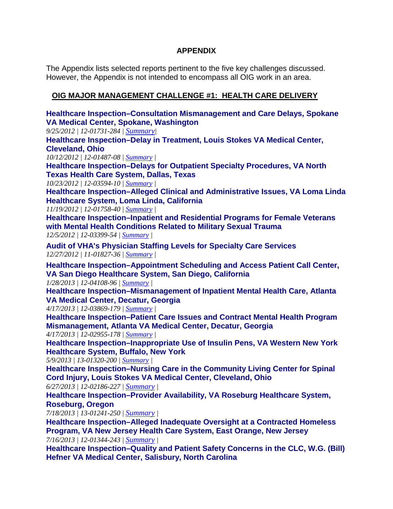# **APPENDIX**

 The Appendix lists selected reports pertinent to the five key challenges discussed. However, the Appendix is not intended to encompass all OIG work in an area.

# **OIG MAJOR MANAGEMENT CHALLENGE #1: HEALTH CARE DELIVERY**

 *9/25/2012 | 12-01731-284 | [Summary|](http://www.va.gov/oig/publications/report-summary.asp?id=2747) 10/12/2012 | 12-01487-08 | [Summary](http://www.va.gov/oig/publications/report-summary.asp?id=2761) | 10/23/2012 | 12-03594-10 | [Summary](http://www.va.gov/oig/publications/report-summary.asp?id=2767) | 11/19/2012 | 12-01758-40 | [Summary](http://www.va.gov/oig/publications/report-summary.asp?id=2779) | 12/5/2012 | 12-03399-54 | [Summary](http://www.va.gov/oig/publications/report-summary.asp?id=2785) | 12/27/2012 | 11-01827-36 | [Summary](http://www.va.gov/oig/publications/report-summary.asp?id=2806) | 1/28/2013 | 12-04108-96 | [Summary](http://www.va.gov/oig/publications/report-summary.asp?id=2819) | 4/17/2013 | 12-03869-179 | [Summary](http://www.va.gov/oig/publications/report-summary.asp?id=2874) | 4/17/2013 | 12-02955-178 | [Summary](http://www.va.gov/oig/publications/report-summary.asp?id=2873) | 5/9/2013 | 13-01320-200 | [Summary](http://www.va.gov/oig/publications/report-summary.asp?id=2891) | 6/27/2013 | 12-02186-227 | [Summary |](http://www.va.gov/oig/publications/report-summary.asp?id=2917) 7/18/2013 | 13-01241-250 | [Summary |](http://www.va.gov/oig/publications/report-summary.asp?id=2926) 7/16/2013 | 12-01344-243 | [Summary |](http://www.va.gov/oig/publications/report-summary.asp?id=2925)*  **[Healthcare Inspection–Consultation Mismanagement and Care Delays, Spokane](http://www.va.gov/oig/pubs/VAOIG-12-01731-284.pdf)  [VA Medical Center, Spokane, Wa](http://www.va.gov/oig/pubs/VAOIG-12-01731-284.pdf)shington [Healthcare Inspection–Delay in Treatment, Louis Stokes VA Medical Center,](http://www.va.gov/oig/pubs/VAOIG-12-01487-08.pdf)  [Cleveland, Ohio](http://www.va.gov/oig/pubs/VAOIG-12-01487-08.pdf)  [Healthcare Inspection–Delays for Outpatient Specialty Procedures, VA North](http://www.va.gov/oig/pubs/VAOIG-12-03594-10.pdf)  [Texas Health Care System, Dallas, Texas](http://www.va.gov/oig/pubs/VAOIG-12-03594-10.pdf)  [Healthcare Inspection–Alleged Clinical and Administrative Issues, VA Loma Linda](http://www.va.gov/oig/pubs/VAOIG-12-01758-40.pdf)  [Healthcare System, Loma Linda, Ca](http://www.va.gov/oig/pubs/VAOIG-12-01758-40.pdf)lifornia [Healthcare Inspection–Inpatient and Residential Programs for Female Veterans](http://www.va.gov/oig/pubs/VAOIG-12-03399-54.pdf)  [with Mental Health Conditions Related to Military Sexual Trauma](http://www.va.gov/oig/pubs/VAOIG-12-03399-54.pdf) [Audit of VHA's Physician Staffing Levels for Specialty Care Services](http://www.va.gov/oig/pubs/VAOIG-11-01827-36.pdf) [Healthcare Inspection–Appointment Scheduling and Access Patient Call Center,](http://www.va.gov/oig/pubs/VAOIG-12-04108-96.pdf)  [VA San Diego Healthcare System, San Diego, California](http://www.va.gov/oig/pubs/VAOIG-12-04108-96.pdf) [Healthcare Inspection–Mismanagement of Inpatient Mental Health Care, Atlanta](http://www.va.gov/oig/pubs/VAOIG-12-03869-179.pdf)  [VA Medical Center, Decatur, Georgia](http://www.va.gov/oig/pubs/VAOIG-12-03869-179.pdf) [Healthcare Inspection–Patient Care Issues and Contract Mental Health Program](http://www.va.gov/oig/pubs/VAOIG-12-02955-178.pdf)  [Mismanagement, Atlanta VA Medical Center, Decatur, Georgia](http://www.va.gov/oig/pubs/VAOIG-12-02955-178.pdf) [Healthcare Inspection–Inappropriate Use of Insulin Pens, VA Western New York](http://www.va.gov/oig/pubs/VAOIG-13-01320-200.pdf)  [Healthcare System, Buffalo, New York](http://www.va.gov/oig/pubs/VAOIG-13-01320-200.pdf) [Healthcare Inspection–Nursing Care in the Community Living Center for Spinal](http://www.va.gov/oig/pubs/VAOIG-12-02186-227.pdf)  [Cord Injury, Louis Stokes VA Medical Center, Cleveland, Oh](http://www.va.gov/oig/pubs/VAOIG-12-02186-227.pdf)io [Healthcare Inspection–Provider Availability, VA Roseburg Healthcare System,](http://www.va.gov/oig/pubs/VAOIG-13-01241-250.pdf)  [Roseburg, Oregon](http://www.va.gov/oig/pubs/VAOIG-13-01241-250.pdf)  [Healthcare Inspection–Alleged Inadequate Oversight at a Contracted Homeless](http://www.va.gov/oig/pubs/VAOIG-12-01344-243.pdf)  [Program, VA New Jersey Health Care System, East Orange, New Jersey](http://www.va.gov/oig/pubs/VAOIG-12-01344-243.pdf)  [Healthcare Inspection–Quality and Patient Safety Concerns in the CLC, W.G. \(Bill\)](http://www.va.gov/oig/pubs/VAOIG-13-01123-249.pdf)  [Hefner VA Medical Center, Salisbury, North Carolina](http://www.va.gov/oig/pubs/VAOIG-13-01123-249.pdf)**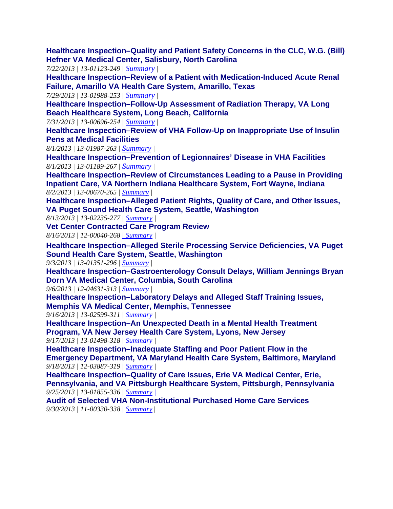**[Healthcare Inspection–Quality and Patient Safety Concerns in the CLC, W.G. \(Bill\)](http://www.va.gov/oig/pubs/VAOIG-13-01123-249.pdf)  Hefner VA Medical Center, Salisbury, North Carolina** 

*7/22/2013 | 13-01123-249 | [Summary](http://www.va.gov/oig/publications/report-summary.asp?id=2929) |* 

**[Healthcare Inspection–Review of a Patient with Medication-Induced Acute Renal](http://www.va.gov/oig/pubs/VAOIG-13-01988-253.pdf)  Failure, Amarillo VA Health Care System, Amarillo, Texas** 

*7/29/2013 | 13-01988-253 | [Summary](http://www.va.gov/oig/publications/report-summary.asp?id=2934) |* 

**[Healthcare Inspection–Follow-Up Assessment of Radiation Therapy, VA Long](http://www.va.gov/oig/pubs/VAOIG-13-00696-254.pdf) Beach Healthcare System, Long Beach, California** 

*7/31/2013 | 13-00696-254 | [Summary](http://www.va.gov/oig/publications/report-summary.asp?id=2940) |* 

**[Healthcare Inspection–Review of VHA Follow-Up on Inappropriate Use of Insulin](http://www.va.gov/oig/pubs/VAOIG-13-01987-263.pdf)  Pens at Medical Facilities** 

*8/1/2013 | 13-01987-263 | [Summary](http://www.va.gov/oig/publications/report-summary.asp?id=2941) |* 

**[Healthcare Inspection–Prevention of Legionnaires' Disease in VHA Facilities](http://www.va.gov/oig/pubs/SC-VAOIG-13-01189-267.pdf)**  *8/1/2013 | 13-01189-267 | [Summary](http://www.va.gov/oig/publications/report-summary.asp?id=2942) |* 

**[Healthcare Inspection–Review of Circumstances Leading to a Pause in Providing](http://www.va.gov/oig/pubs/VAOIG-13-00670-265.pdf)  Inpatient Care, VA Northern Indiana Healthcare System, Fort Wayne, Indiana**  *8/2/2013 | 13-00670-265 | [Summary](http://www.va.gov/oig/publications/report-summary.asp?id=2943) |* 

**[Healthcare Inspection–Alleged Patient Rights, Quality of Care, and Other Issues,](http://www.va.gov/oig/pubs/VAOIG-13-02235-277.pdf)  VA Puget Sound Health Care System, Seattle, Washington** 

*8/13/2013 | 13-02235-277 | [Summary](http://www.va.gov/oig/publications/report-summary.asp?id=2950) |* 

**[Vet Center Contracted Care Program Review](http://www.va.gov/oig/pubs/VAOIG-12-00040-268.pdf)**

*8/16/2013 | 12-00040-268 | [Summary](http://www.va.gov/oig/publications/report-summary.asp?id=2954) |* 

**[Healthcare Inspection–Alleged Sterile Processing Service Deficiencies, VA Puget](http://www.va.gov/oig/pubs/VAOIG-13-01351-296.pdf)  Sound Health Care System, Seattle, Washington** 

*9/3/2013 | 13-01351-296 | [Summary](http://www.va.gov/oig/publications/report-summary.asp?id=2968) |* 

**[Healthcare Inspection–Gastroenterology Consult Delays, William Jennings Bryan](http://www.va.gov/oig/pubs/VAOIG-12-04631-313.pdf)  Dorn VA Medical Center, Columbia, South Carolina** 

*9/6/2013 | 12-04631-313 | [Summary](http://www.va.gov/oig/publications/report-summary.asp?id=2973) |* 

**[Healthcare Inspection–Laboratory Delays and Alleged Staff Training Issues,](http://www.va.gov/oig/pubs/VAOIG-13-02599-311.pdf) Memphis VA Medical Center, Memphis, Tennessee** 

*9/16/2013 | 13-02599-311 | [Summary](http://www.va.gov/oig/publications/report-summary.asp?id=2979) |* 

 **Program, VA New Jersey Health Care System, Lyons, New Jersey [Healthcare Inspection–An Unexpected Death in a Mental Health Treatment](http://www.va.gov/oig/pubs/VAOIG-13-01498-318.pdf)**  *9/17/2013 | 13-01498-318 | [Summary](http://www.va.gov/oig/publications/report-summary.asp?id=2981) |* 

**Healthcare Inspection–Inadequate Staffing and Poor Patient Flow in the [Emergency Department, VA Maryland Health Care System, Baltimore, Maryland](http://www.va.gov/oig/pubs/VAOIG-12-03887-319.pdf)**  *9/18/2013 | 12-03887-319 | [Summary](http://www.va.gov/oig/publications/report-summary.asp?id=2980) |* 

 *9/25/2013 | 13-01855-336 | [Summary |](http://www.va.gov/oig/publications/report-summary.asp?id=2988)* **Healthcare Inspection–Quality of Care Issues, Erie VA Medical Center, Erie, [Pennsylvania, and VA Pittsburgh Healthcare System, Pittsburgh, Pennsylvania](http://www.va.gov/oig/pubs/VAOIG-13-01855-336.pdf)** 

**[Audit of Selected VHA Non-Institutional Purchased Home Care Services](http://www.va.gov/oig/pubs/VAOIG-11-00330-338.pdf)**  *9/30/2013 | 11-00330-338 | [Summary](http://www.va.gov/oig/publications/report-summary.asp?id=2995)* |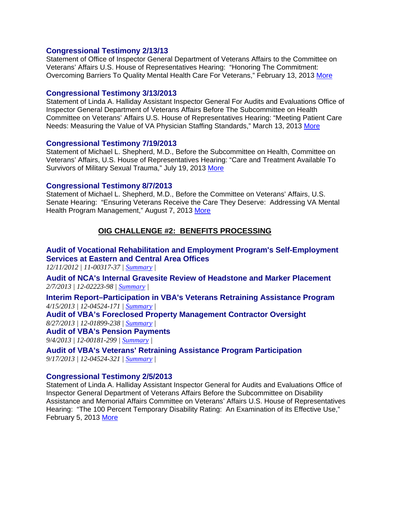### **[Congressional Testimony 2/13/13](http://www.va.gov/oig/pubs/statements/VAOIG-statement-20130213.pdf)**

Statement of Office of Inspector General Department of Veterans Affairs to the Committee on Veterans' Affairs U.S. House of Representatives Hearing: "Honoring The Commitment: Overcoming Barriers To Quality Mental Health Care For Veterans," February 13, 2013 [More](http://www.va.gov/oig/pubs/statements/VAOIG-statement-20130213.pdf)

### **[Congressional Testimony 3/13/2013](http://www.va.gov/oig/pubs/statements/VAOIG-statement-20130313-halliday.pdf)**

Statement of Linda A. Halliday Assistant Inspector General For Audits and Evaluations Office of Inspector General Department of Veterans Affairs Before The Subcommittee on Health Committee on Veterans' Affairs U.S. House of Representatives Hearing: "Meeting Patient Care Needs: Measuring the Value of VA Physician Staffing Standards," March 13, 2013 More

### **[Congressional Testimony 7/19/2013](http://www.va.gov/oig/pubs/statements/VAOIG-statement-20130719-shepherd.pdf)**

Statement of Michael L. Shepherd, M.D., Before the Subcommittee on Health, Committee on Veterans' Affairs, U.S. House of Representatives Hearing: "Care and Treatment Available To Survivors of Military Sexual Trauma," July 19, 2013 [More](http://www.va.gov/oig/pubs/statements/VAOIG-statement-20130719-shepherd.pdf) 

### **[Congressional Testimony 8/7/2013](http://www.va.gov/oig/pubs/statements/VAOIG-statement-20130807-shepherd.pdf)**

Statement of Michael L. Shepherd, M.D., Before the Committee on Veterans' Affairs, U.S. Senate Hearing: "Ensuring Veterans Receive the Care They Deserve: Addressing VA Mental Health Program Management," August 7, 2013 More

# **OIG CHALLENGE #2: BENEFITS PROCESSING**

# **[Audit of Vocational Rehabilitation and Employment Program's Self-Employment](http://www.va.gov/oig/pubs/VAOIG-11-00317-37.pdf) Services at Eastern and Central Area Offices**

*12/11/2012 | 11-00317-37 | [Summary](http://www.va.gov/oig/publications/report-summary.asp?id=2794) |* 

**[Audit of NCA's Internal Gravesite Review of Headstone and Marker Placement](http://www.va.gov/oig/pubs/VAOIG-12-02223-98.pdf)**  *2/7/2013 | 12-02223-98 | [Summary |](http://www.va.gov/oig/publications/report-summary.asp?id=2830)* 

**[Interim Report–Participation in VBA's Veterans Retraining Assistance Program](http://www.va.gov/oig/pubs/VAOIG-12-04524-171.pdf)**  *4/15/2013 | 12-04524-171 | [Summary](http://www.va.gov/oig/publications/report-summary.asp?id=2872) |* 

**[Audit of VBA's Foreclosed Property Management Contractor Oversight](http://www.va.gov/oig/pubs/VAOIG-12-01899-238.pdf)**  *8/27/2013 | 12-01899-238 | [Summary](http://www.va.gov/oig/publications/report-summary.asp?id=2965) |* 

#### **[Audit of VBA's Pension Payments](http://www.va.gov/oig/pubs/VAOIG-12-00181-299.pdf)**

*9/4/2013 | 12-00181-299 | [Summary](http://www.va.gov/oig/publications/report-summary.asp?id=2970) |* 

**[Audit of VBA's Veterans' Retraining Assistance Program Participation](http://www.va.gov/oig/pubs/VAOIG-12-04524-321.pdf)**  *9/17/2013 | 12-04524-321 | [Summary](http://www.va.gov/oig/publications/report-summary.asp?id=2983) |* 

### **[Congressional Testimony 2/5/2013](http://www.va.gov/oig/pubs/statements/VAOIG-statement-20130205-halliday.pdf)**

Statement of Linda A. Halliday Assistant Inspector General for Audits and Evaluations Office of Inspector General Department of Veterans Affairs Before the Subcommittee on Disability Assistance and Memorial Affairs Committee on Veterans' Affairs U.S. House of Representatives Hearing: "The 100 Percent Temporary Disability Rating: An Examination of its Effective Use," February 5, 2013 [More](http://www.va.gov/oig/pubs/statements/VAOIG-statement-20130205-halliday.pdf)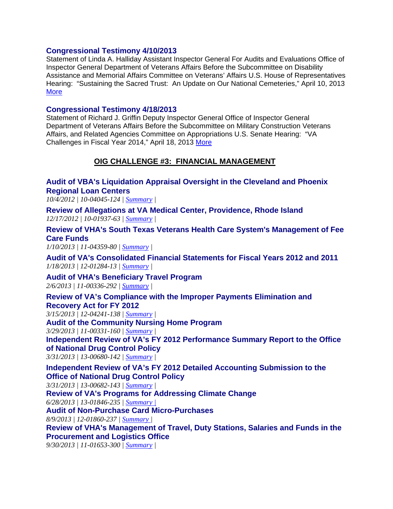### **[Congressional Testimony 4/10/2013](http://www.va.gov/oig/pubs/statements/VAOIG-statement-20130410-halliday.pdf)**

Statement of Linda A. Halliday Assistant Inspector General For Audits and Evaluations Office of Inspector General Department of Veterans Affairs Before the Subcommittee on Disability Assistance and Memorial Affairs Committee on Veterans' Affairs U.S. House of Representatives Hearing: "Sustaining the Sacred Trust: An Update on Our National Cemeteries," April 10, 2013 **More** 

### **[Congressional Testimony 4/18/2013](http://www.va.gov/oig/pubs/statements/VAOIG-statement-20130418-griffin.pdf)**

Statement of Richard J. Griffin Deputy Inspector General Office of Inspector General Department of Veterans Affairs Before the Subcommittee on Military Construction Veterans Affairs, and Related Agencies Committee on Appropriations U.S. Senate Hearing: "VA Challenges in Fiscal Year 2014," April 18, 2013 [More](http://www.va.gov/oig/pubs/statements/VAOIG-statement-20130418-griffin.pdf) 

# **OIG CHALLENGE #3: FINANCIAL MANAGEMENT**

**[Audit of VBA's Liquidation Appraisal Oversight in the Cleveland and Phoenix](http://www.va.gov/oig/pubs/VAOIG-10-04045-124.pdf)  Regional Loan Centers**

*10/4/2012 | 10-04045-124 | [Summary](http://www.va.gov/oig/publications/report-summary.asp?id=2758) |* 

**[Review of Allegations at VA Medical Center, Providence, Rhode Island](http://www.va.gov/oig/pubs/VAOIG-10-01937-63.pdf)**  *12/17/2012 | 10-01937-63 | [Summary](http://www.va.gov/oig/publications/report-summary.asp?id=2801) |* 

**[Review of VHA's South Texas Veterans Health Care System's Management of Fee](http://www.va.gov/oig/pubs/VAOIG-11-04359-80.pdf)  Care Funds** 

*1/10/2013 | 11-04359-80 | [Summary](http://www.va.gov/oig/publications/report-summary.asp?id=2813) |* 

**[Audit of VA's Consolidated Financial Statements for Fiscal Years 2012 and 2011](http://www.va.gov/oig/pubs/VAOIG-12-01284-13.pdf)**  *1/18/2013 | 12-01284-13 | [Summary](http://www.va.gov/oig/publications/report-summary.asp?id=2817) |* 

**[Audit of VHA's Beneficiary Travel Program](http://www.va.gov/oig/pubs/VAOIG-11-00336-292.pdf)**  *2/6/2013 | 11-00336-292 | [Summary](http://www.va.gov/oig/publications/report-summary.asp?id=2823) |* 

**[Review of VA's Compliance with the Improper Payments Elimination and](http://www.va.gov/oig/pubs/VAOIG-12-04241-138.pdf)  Recovery Act for FY 2012** 

*3/15/2013 | 12-04241-138 | [Summary](http://www.va.gov/oig/publications/report-summary.asp?id=2846) |* 

**[Audit of the Community Nursing Home Program](http://www.va.gov/oig/pubs/VAOIG-11-00331-160.pdf)** 

*3/29/2013 | 11-00331-160 | [Summary](http://www.va.gov/oig/publications/report-summary.asp?id=2862) |* 

**[Independent Review of VA's FY 2012 Performance Summary Report to the Office](http://www.va.gov/oig/pubs/VAOIG-13-00680-142.pdf)  of National Drug Control Policy**

*3/31/2013 | 13-00680-142 | [Summary](http://www.va.gov/oig/publications/report-summary.asp?id=2861) |* 

**[Independent Review of VA's FY 2012 Detailed Accounting Submission to the](http://www.va.gov/oig/pubs/VAOIG-13-00682-143.pdf)  Office of National Drug Control Policy**

*3/31/2013 | 13-00682-143 | [Summary](http://www.va.gov/oig/publications/report-summary.asp?id=2863) |* 

**[Review of VA's Programs for Addressing Climate Change](http://www.va.gov/oig/pubs/VAOIG-13-01846-235.pdf)** 

*6/28/2013 | 13-01846-235 | [Summary](http://www.va.gov/oig/publications/report-summary.asp?id=2919) |* 

**[Audit of Non-Purchase Card Micro-Purchases](http://www.va.gov/oig/pubs/VAOIG-12-01860-237.pdf)** 

*8/9/2013 | 12-01860-237 | [Summary](http://www.va.gov/oig/publications/report-summary.asp?id=2949) |* 

**[Review of VHA's Management of Travel, Duty Stations, Salaries and Funds in the](http://www.va.gov/oig/pubs/VAOIG-11-01653-300.pdf)  Procurement and Logistics Office** 

*9/30/2013 | 11-01653-300 | [Summary](http://www.va.gov/oig/publications/report-summary.asp?id=2996) |*